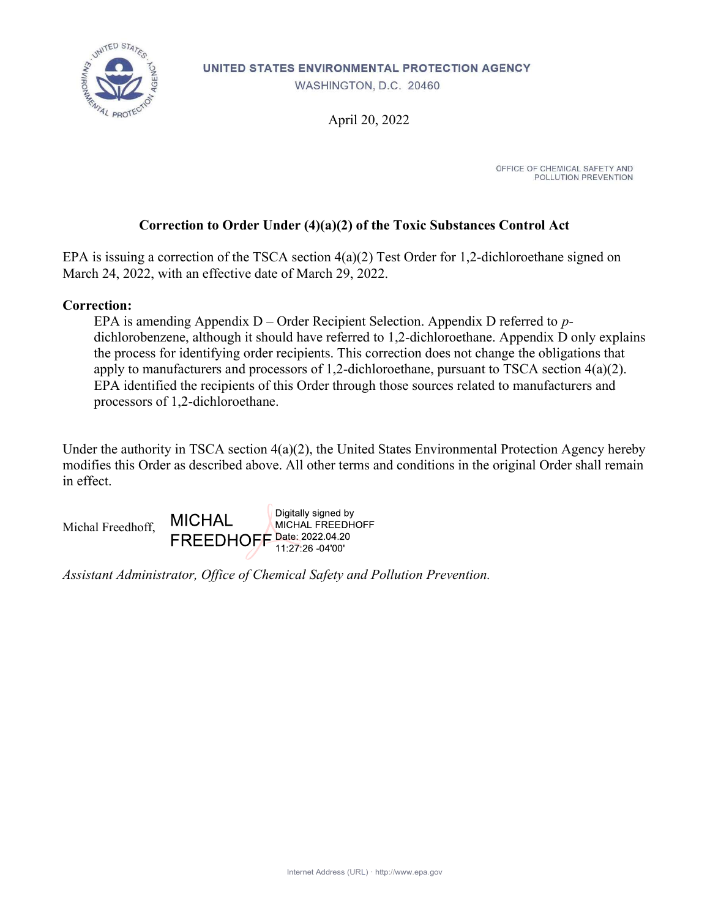

UNITED STATES ENVIRONMENTAL PROTECTION AGENCY

WASHINGTON, D.C. 20460

April 20, 2022

OFFICE OF CHEMICAL SAFETY AND POLLUTION PREVENTION

## Correction to Order Under (4)(a)(2) of the Toxic Substances Control Act

EPA is issuing a correction of the TSCA section 4(a)(2) Test Order for 1,2-dichloroethane signed on March 24, 2022, with an effective date of March 29, 2022.

#### Correction:

EPA is amending Appendix  $D -$  Order Recipient Selection. Appendix D referred to pdichlorobenzene, although it should have referred to 1,2-dichloroethane. Appendix D only explains the process for identifying order recipients. This correction does not change the obligations that apply to manufacturers and processors of 1,2-dichloroethane, pursuant to TSCA section 4(a)(2). EPA identified the recipients of this Order through those sources related to manufacturers and processors of 1,2-dichloroethane.

Under the authority in TSCA section 4(a)(2), the United States Environmental Protection Agency hereby modifies this Order as described above. All other terms and conditions in the original Order shall remain in effect.



Assistant Administrator, Office of Chemical Safety and Pollution Prevention.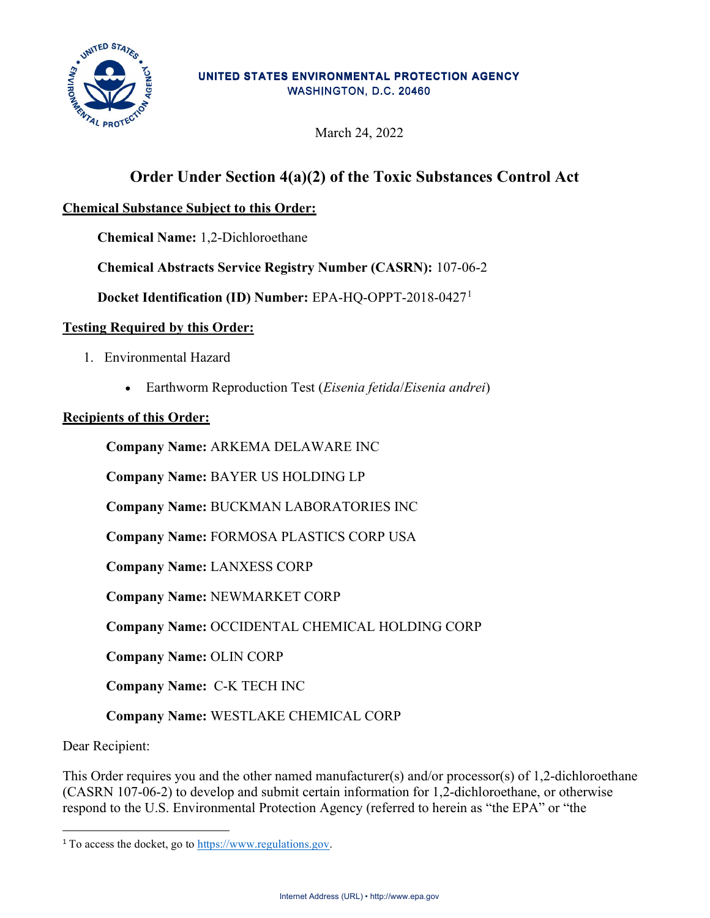

#### UNITED STATES ENVIRONMENTAL PROTECTION AGENCY WASHINGTON, D.C. 20460

March 24, 2022

# Order Under Section 4(a)(2) of the Toxic Substances Control Act

# Chemical Substance Subject to this Order:

Chemical Name: 1,2-Dichloroethane

Chemical Abstracts Service Registry Number (CASRN): 107-06-2

Docket Identification (ID) Number: EPA-HQ-OPPT-2018-0427<sup>1</sup>

#### Testing Required by this Order:

- 1. Environmental Hazard
	- Earthworm Reproduction Test (*Eisenia fetida/Eisenia andrei*)

#### Recipients of this Order:

Company Name: ARKEMA DELAWARE INC

Company Name: BAYER US HOLDING LP

Company Name: BUCKMAN LABORATORIES INC

Company Name: FORMOSA PLASTICS CORP USA

Company Name: LANXESS CORP

Company Name: NEWMARKET CORP

Company Name: OCCIDENTAL CHEMICAL HOLDING CORP

Company Name: OLIN CORP

Company Name: C-K TECH INC

Company Name: WESTLAKE CHEMICAL CORP

Dear Recipient:

This Order requires you and the other named manufacturer(s) and/or processor(s) of 1,2-dichloroethane (CASRN 107-06-2) to develop and submit certain information for 1,2-dichloroethane, or otherwise respond to the U.S. Environmental Protection Agency (referred to herein as "the EPA" or "the

<sup>&</sup>lt;sup>1</sup> To access the docket, go to https://www.regulations.gov.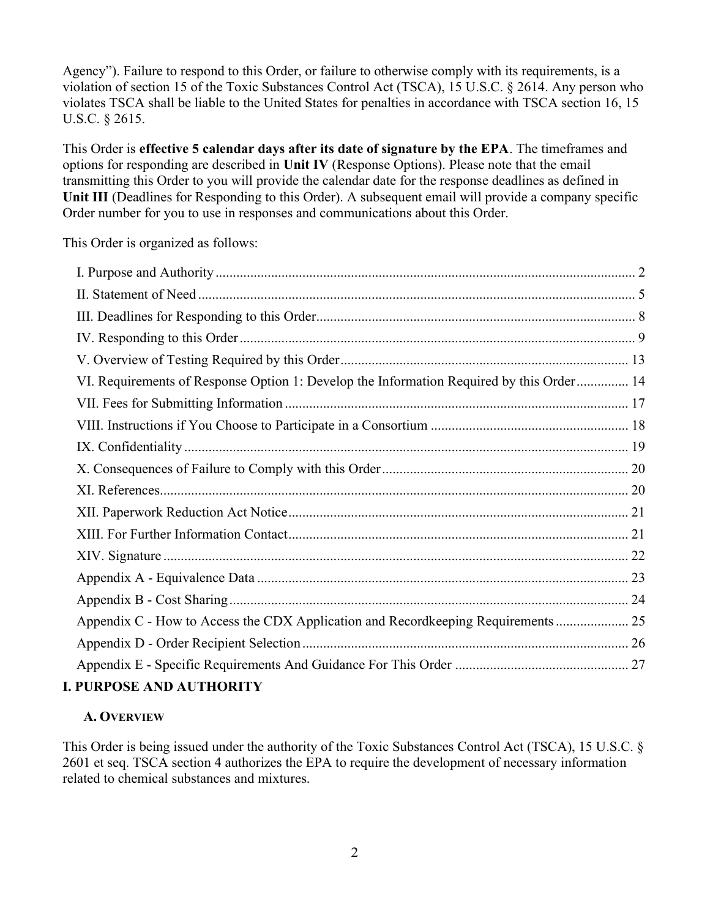Agency"). Failure to respond to this Order, or failure to otherwise comply with its requirements, is a violation of section 15 of the Toxic Substances Control Act (TSCA), 15 U.S.C. § 2614. Any person who violates TSCA shall be liable to the United States for penalties in accordance with TSCA section 16, 15 U.S.C. § 2615.

This Order is effective 5 calendar days after its date of signature by the EPA. The timeframes and options for responding are described in Unit IV (Response Options). Please note that the email transmitting this Order to you will provide the calendar date for the response deadlines as defined in Unit III (Deadlines for Responding to this Order). A subsequent email will provide a company specific Order number for you to use in responses and communications about this Order.

This Order is organized as follows:

| VI. Requirements of Response Option 1: Develop the Information Required by this Order 14 |  |
|------------------------------------------------------------------------------------------|--|
|                                                                                          |  |
|                                                                                          |  |
|                                                                                          |  |
|                                                                                          |  |
|                                                                                          |  |
|                                                                                          |  |
|                                                                                          |  |
|                                                                                          |  |
|                                                                                          |  |
|                                                                                          |  |
| Appendix C - How to Access the CDX Application and Recordkeeping Requirements  25        |  |
|                                                                                          |  |
|                                                                                          |  |
| <b>I. PURPOSE AND AUTHORITY</b>                                                          |  |

# A. OVERVIEW

This Order is being issued under the authority of the Toxic Substances Control Act (TSCA), 15 U.S.C. § 2601 et seq. TSCA section 4 authorizes the EPA to require the development of necessary information related to chemical substances and mixtures.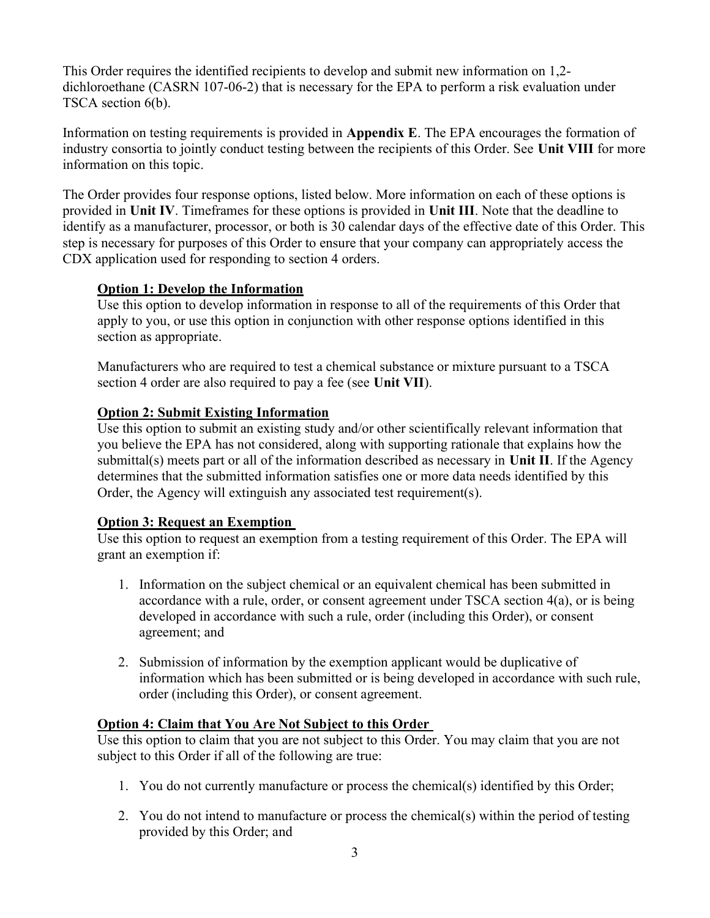This Order requires the identified recipients to develop and submit new information on 1,2 dichloroethane (CASRN 107-06-2) that is necessary for the EPA to perform a risk evaluation under TSCA section 6(b).

Information on testing requirements is provided in Appendix E. The EPA encourages the formation of industry consortia to jointly conduct testing between the recipients of this Order. See Unit VIII for more information on this topic.

The Order provides four response options, listed below. More information on each of these options is provided in Unit IV. Timeframes for these options is provided in Unit III. Note that the deadline to identify as a manufacturer, processor, or both is 30 calendar days of the effective date of this Order. This step is necessary for purposes of this Order to ensure that your company can appropriately access the CDX application used for responding to section 4 orders.

#### Option 1: Develop the Information

Use this option to develop information in response to all of the requirements of this Order that apply to you, or use this option in conjunction with other response options identified in this section as appropriate.

Manufacturers who are required to test a chemical substance or mixture pursuant to a TSCA section 4 order are also required to pay a fee (see Unit VII).

#### Option 2: Submit Existing Information

Use this option to submit an existing study and/or other scientifically relevant information that you believe the EPA has not considered, along with supporting rationale that explains how the submittal(s) meets part or all of the information described as necessary in Unit II. If the Agency determines that the submitted information satisfies one or more data needs identified by this Order, the Agency will extinguish any associated test requirement(s).

#### Option 3: Request an Exemption

Use this option to request an exemption from a testing requirement of this Order. The EPA will grant an exemption if:

- 1. Information on the subject chemical or an equivalent chemical has been submitted in accordance with a rule, order, or consent agreement under TSCA section 4(a), or is being developed in accordance with such a rule, order (including this Order), or consent agreement; and
- 2. Submission of information by the exemption applicant would be duplicative of information which has been submitted or is being developed in accordance with such rule, order (including this Order), or consent agreement.

#### Option 4: Claim that You Are Not Subject to this Order

Use this option to claim that you are not subject to this Order. You may claim that you are not subject to this Order if all of the following are true:

- 1. You do not currently manufacture or process the chemical(s) identified by this Order;
- 2. You do not intend to manufacture or process the chemical(s) within the period of testing provided by this Order; and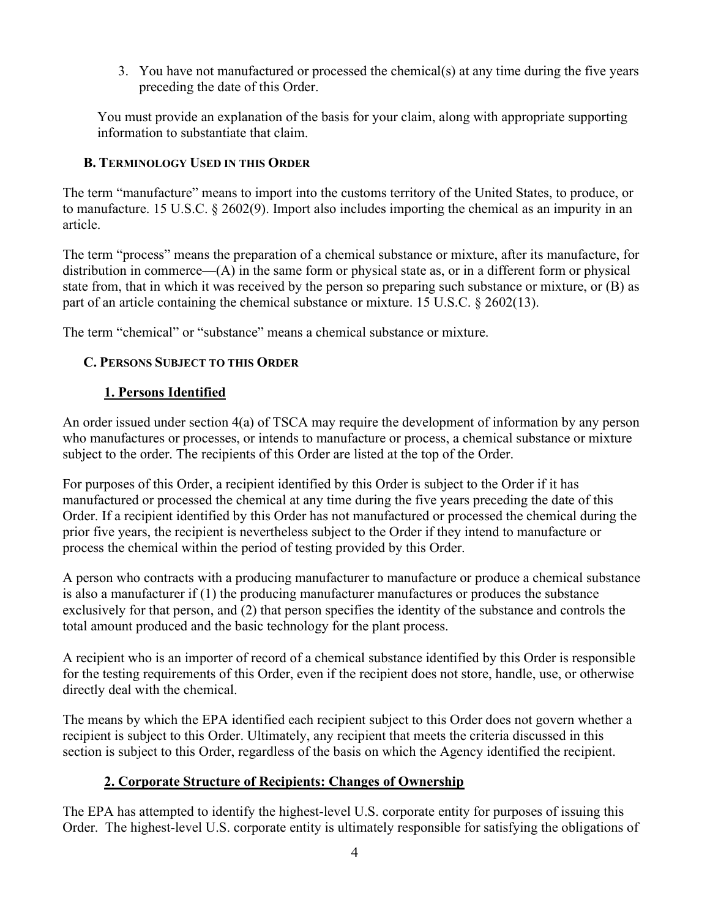3. You have not manufactured or processed the chemical(s) at any time during the five years preceding the date of this Order.

You must provide an explanation of the basis for your claim, along with appropriate supporting information to substantiate that claim.

## B. TERMINOLOGY USED IN THIS ORDER

The term "manufacture" means to import into the customs territory of the United States, to produce, or to manufacture. 15 U.S.C. § 2602(9). Import also includes importing the chemical as an impurity in an article.

The term "process" means the preparation of a chemical substance or mixture, after its manufacture, for distribution in commerce—(A) in the same form or physical state as, or in a different form or physical state from, that in which it was received by the person so preparing such substance or mixture, or (B) as part of an article containing the chemical substance or mixture. 15 U.S.C. § 2602(13).

The term "chemical" or "substance" means a chemical substance or mixture.

# C. PERSONS SUBJECT TO THIS ORDER

# 1. Persons Identified

An order issued under section 4(a) of TSCA may require the development of information by any person who manufactures or processes, or intends to manufacture or process, a chemical substance or mixture subject to the order. The recipients of this Order are listed at the top of the Order.

For purposes of this Order, a recipient identified by this Order is subject to the Order if it has manufactured or processed the chemical at any time during the five years preceding the date of this Order. If a recipient identified by this Order has not manufactured or processed the chemical during the prior five years, the recipient is nevertheless subject to the Order if they intend to manufacture or process the chemical within the period of testing provided by this Order.

A person who contracts with a producing manufacturer to manufacture or produce a chemical substance is also a manufacturer if (1) the producing manufacturer manufactures or produces the substance exclusively for that person, and (2) that person specifies the identity of the substance and controls the total amount produced and the basic technology for the plant process.

A recipient who is an importer of record of a chemical substance identified by this Order is responsible for the testing requirements of this Order, even if the recipient does not store, handle, use, or otherwise directly deal with the chemical.

The means by which the EPA identified each recipient subject to this Order does not govern whether a recipient is subject to this Order. Ultimately, any recipient that meets the criteria discussed in this section is subject to this Order, regardless of the basis on which the Agency identified the recipient.

# 2. Corporate Structure of Recipients: Changes of Ownership

The EPA has attempted to identify the highest-level U.S. corporate entity for purposes of issuing this Order. The highest-level U.S. corporate entity is ultimately responsible for satisfying the obligations of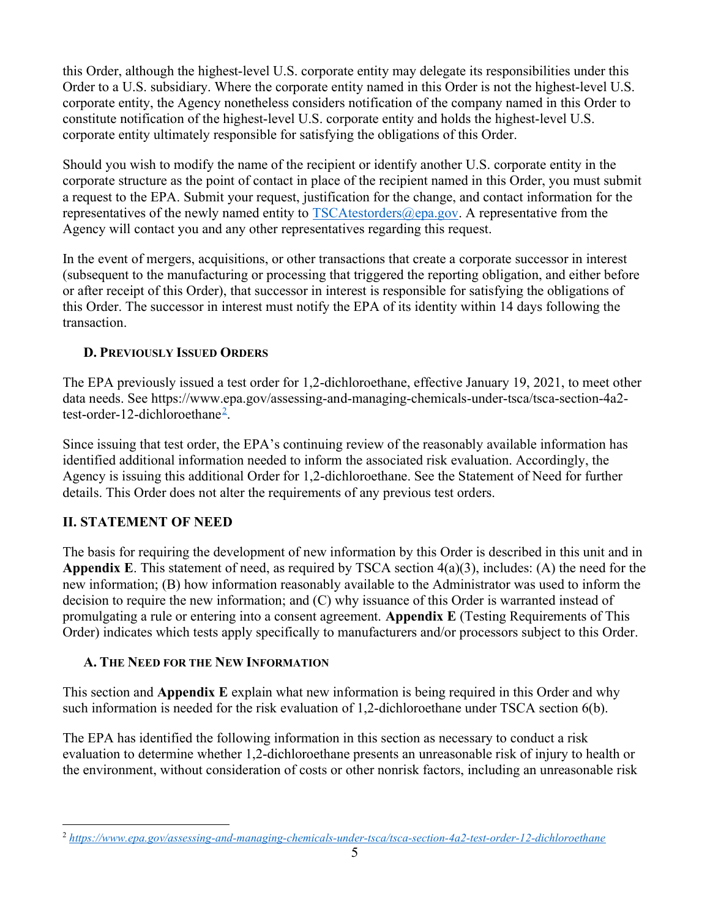this Order, although the highest-level U.S. corporate entity may delegate its responsibilities under this Order to a U.S. subsidiary. Where the corporate entity named in this Order is not the highest-level U.S. corporate entity, the Agency nonetheless considers notification of the company named in this Order to constitute notification of the highest-level U.S. corporate entity and holds the highest-level U.S. corporate entity ultimately responsible for satisfying the obligations of this Order.

Should you wish to modify the name of the recipient or identify another U.S. corporate entity in the corporate structure as the point of contact in place of the recipient named in this Order, you must submit a request to the EPA. Submit your request, justification for the change, and contact information for the representatives of the newly named entity to  $TSCAtestorders@epa.gov$ . A representative from the Agency will contact you and any other representatives regarding this request.

In the event of mergers, acquisitions, or other transactions that create a corporate successor in interest (subsequent to the manufacturing or processing that triggered the reporting obligation, and either before or after receipt of this Order), that successor in interest is responsible for satisfying the obligations of this Order. The successor in interest must notify the EPA of its identity within 14 days following the transaction.

#### D. PREVIOUSLY ISSUED ORDERS

The EPA previously issued a test order for 1,2-dichloroethane, effective January 19, 2021, to meet other data needs. See https://www.epa.gov/assessing-and-managing-chemicals-under-tsca/tsca-section-4a2 test-order-12-dichloroethane<sup>2</sup> .

Since issuing that test order, the EPA's continuing review of the reasonably available information has identified additional information needed to inform the associated risk evaluation. Accordingly, the Agency is issuing this additional Order for 1,2-dichloroethane. See the Statement of Need for further details. This Order does not alter the requirements of any previous test orders.

# II. STATEMENT OF NEED

The basis for requiring the development of new information by this Order is described in this unit and in Appendix E. This statement of need, as required by TSCA section  $4(a)(3)$ , includes: (A) the need for the new information; (B) how information reasonably available to the Administrator was used to inform the decision to require the new information; and (C) why issuance of this Order is warranted instead of promulgating a rule or entering into a consent agreement. Appendix E (Testing Requirements of This Order) indicates which tests apply specifically to manufacturers and/or processors subject to this Order.

#### A. THE NEED FOR THE NEW INFORMATION

This section and Appendix E explain what new information is being required in this Order and why such information is needed for the risk evaluation of 1,2-dichloroethane under TSCA section 6(b).

The EPA has identified the following information in this section as necessary to conduct a risk evaluation to determine whether 1,2-dichloroethane presents an unreasonable risk of injury to health or the environment, without consideration of costs or other nonrisk factors, including an unreasonable risk

<sup>2</sup> https://www.epa.gov/assessing-and-managing-chemicals-under-tsca/tsca-section-4a2-test-order-12-dichloroethane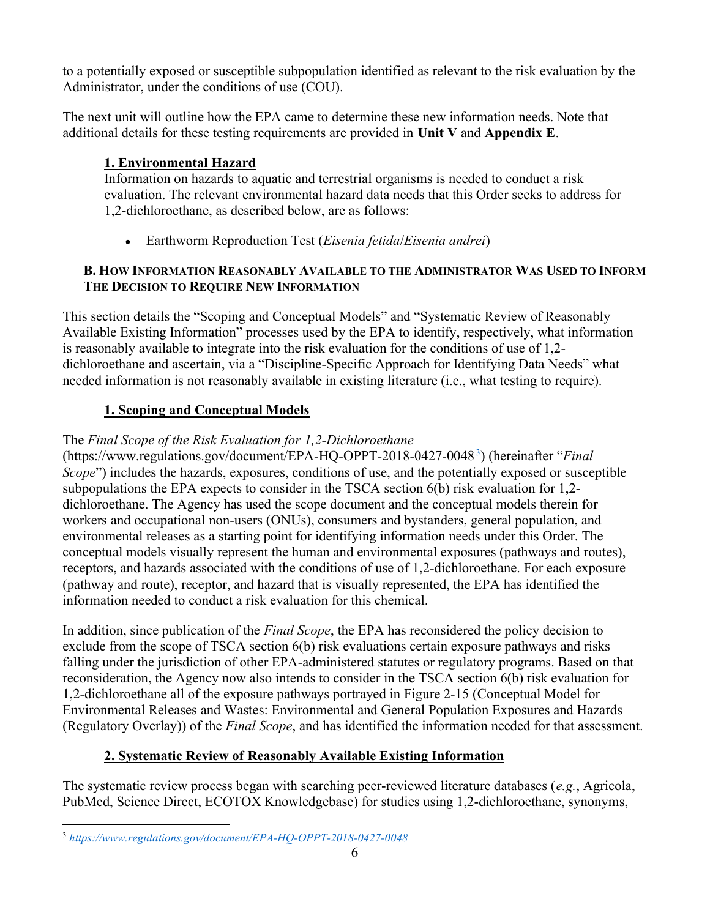to a potentially exposed or susceptible subpopulation identified as relevant to the risk evaluation by the Administrator, under the conditions of use (COU).

The next unit will outline how the EPA came to determine these new information needs. Note that additional details for these testing requirements are provided in Unit  $V$  and Appendix E.

# 1. Environmental Hazard

Information on hazards to aquatic and terrestrial organisms is needed to conduct a risk evaluation. The relevant environmental hazard data needs that this Order seeks to address for 1,2-dichloroethane, as described below, are as follows:

• Earthworm Reproduction Test (*Eisenia fetida*/*Eisenia andrei*)

# B. HOW INFORMATION REASONABLY AVAILABLE TO THE ADMINISTRATOR WAS USED TO INFORM THE DECISION TO REQUIRE NEW INFORMATION

This section details the "Scoping and Conceptual Models" and "Systematic Review of Reasonably Available Existing Information" processes used by the EPA to identify, respectively, what information is reasonably available to integrate into the risk evaluation for the conditions of use of 1,2 dichloroethane and ascertain, via a "Discipline-Specific Approach for Identifying Data Needs" what needed information is not reasonably available in existing literature (i.e., what testing to require).

# 1. Scoping and Conceptual Models

# The Final Scope of the Risk Evaluation for 1,2-Dichloroethane

(https://www.regulations.gov/document/EPA-HQ-OPPT-2018-0427-0048<sup>3</sup>) (hereinafter "Final Scope") includes the hazards, exposures, conditions of use, and the potentially exposed or susceptible subpopulations the EPA expects to consider in the TSCA section 6(b) risk evaluation for 1,2 dichloroethane. The Agency has used the scope document and the conceptual models therein for workers and occupational non-users (ONUs), consumers and bystanders, general population, and environmental releases as a starting point for identifying information needs under this Order. The conceptual models visually represent the human and environmental exposures (pathways and routes), receptors, and hazards associated with the conditions of use of 1,2-dichloroethane. For each exposure (pathway and route), receptor, and hazard that is visually represented, the EPA has identified the information needed to conduct a risk evaluation for this chemical.

In addition, since publication of the *Final Scope*, the EPA has reconsidered the policy decision to exclude from the scope of TSCA section 6(b) risk evaluations certain exposure pathways and risks falling under the jurisdiction of other EPA-administered statutes or regulatory programs. Based on that reconsideration, the Agency now also intends to consider in the TSCA section 6(b) risk evaluation for 1,2-dichloroethane all of the exposure pathways portrayed in Figure 2-15 (Conceptual Model for Environmental Releases and Wastes: Environmental and General Population Exposures and Hazards (Regulatory Overlay)) of the Final Scope, and has identified the information needed for that assessment.

# 2. Systematic Review of Reasonably Available Existing Information

The systematic review process began with searching peer-reviewed literature databases (e.g., Agricola, PubMed, Science Direct, ECOTOX Knowledgebase) for studies using 1,2-dichloroethane, synonyms,

<sup>3</sup> https://www.regulations.gov/document/EPA-HQ-OPPT-2018-0427-0048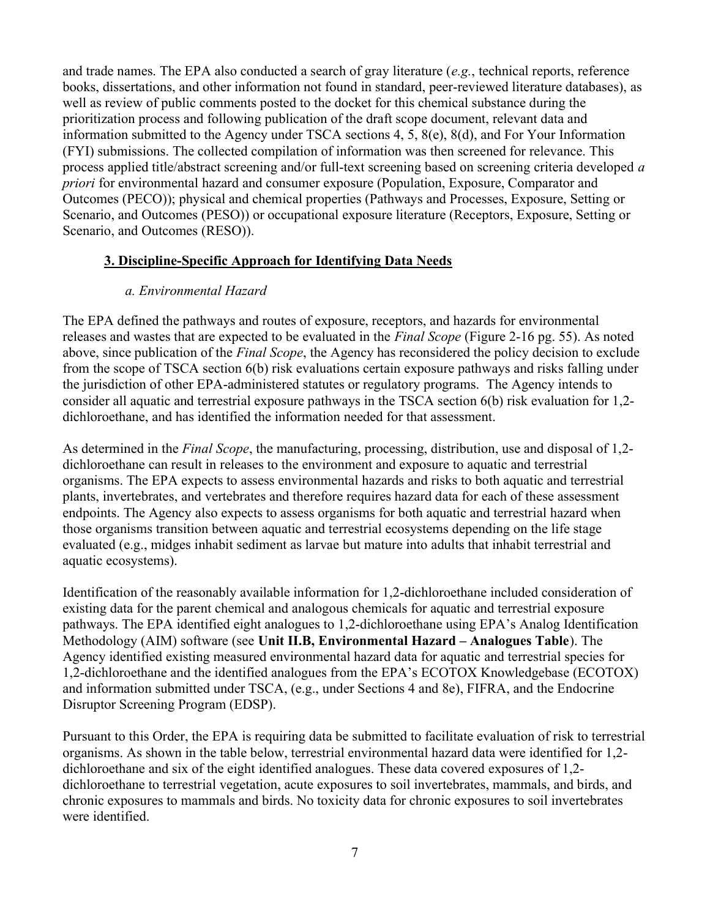and trade names. The EPA also conducted a search of gray literature (e.g., technical reports, reference books, dissertations, and other information not found in standard, peer-reviewed literature databases), as well as review of public comments posted to the docket for this chemical substance during the prioritization process and following publication of the draft scope document, relevant data and information submitted to the Agency under TSCA sections 4, 5, 8(e), 8(d), and For Your Information (FYI) submissions. The collected compilation of information was then screened for relevance. This process applied title/abstract screening and/or full-text screening based on screening criteria developed a priori for environmental hazard and consumer exposure (Population, Exposure, Comparator and Outcomes (PECO)); physical and chemical properties (Pathways and Processes, Exposure, Setting or Scenario, and Outcomes (PESO)) or occupational exposure literature (Receptors, Exposure, Setting or Scenario, and Outcomes (RESO)).

#### 3. Discipline-Specific Approach for Identifying Data Needs

#### a. Environmental Hazard

The EPA defined the pathways and routes of exposure, receptors, and hazards for environmental releases and wastes that are expected to be evaluated in the Final Scope (Figure 2-16 pg. 55). As noted above, since publication of the Final Scope, the Agency has reconsidered the policy decision to exclude from the scope of TSCA section 6(b) risk evaluations certain exposure pathways and risks falling under the jurisdiction of other EPA-administered statutes or regulatory programs. The Agency intends to consider all aquatic and terrestrial exposure pathways in the TSCA section 6(b) risk evaluation for 1,2 dichloroethane, and has identified the information needed for that assessment.

As determined in the Final Scope, the manufacturing, processing, distribution, use and disposal of 1,2 dichloroethane can result in releases to the environment and exposure to aquatic and terrestrial organisms. The EPA expects to assess environmental hazards and risks to both aquatic and terrestrial plants, invertebrates, and vertebrates and therefore requires hazard data for each of these assessment endpoints. The Agency also expects to assess organisms for both aquatic and terrestrial hazard when those organisms transition between aquatic and terrestrial ecosystems depending on the life stage evaluated (e.g., midges inhabit sediment as larvae but mature into adults that inhabit terrestrial and aquatic ecosystems).

Identification of the reasonably available information for 1,2-dichloroethane included consideration of existing data for the parent chemical and analogous chemicals for aquatic and terrestrial exposure pathways. The EPA identified eight analogues to 1,2-dichloroethane using EPA's Analog Identification Methodology (AIM) software (see Unit II.B, Environmental Hazard – Analogues Table). The Agency identified existing measured environmental hazard data for aquatic and terrestrial species for 1,2-dichloroethane and the identified analogues from the EPA's ECOTOX Knowledgebase (ECOTOX) and information submitted under TSCA, (e.g., under Sections 4 and 8e), FIFRA, and the Endocrine Disruptor Screening Program (EDSP).

Pursuant to this Order, the EPA is requiring data be submitted to facilitate evaluation of risk to terrestrial organisms. As shown in the table below, terrestrial environmental hazard data were identified for 1,2 dichloroethane and six of the eight identified analogues. These data covered exposures of 1,2 dichloroethane to terrestrial vegetation, acute exposures to soil invertebrates, mammals, and birds, and chronic exposures to mammals and birds. No toxicity data for chronic exposures to soil invertebrates were identified.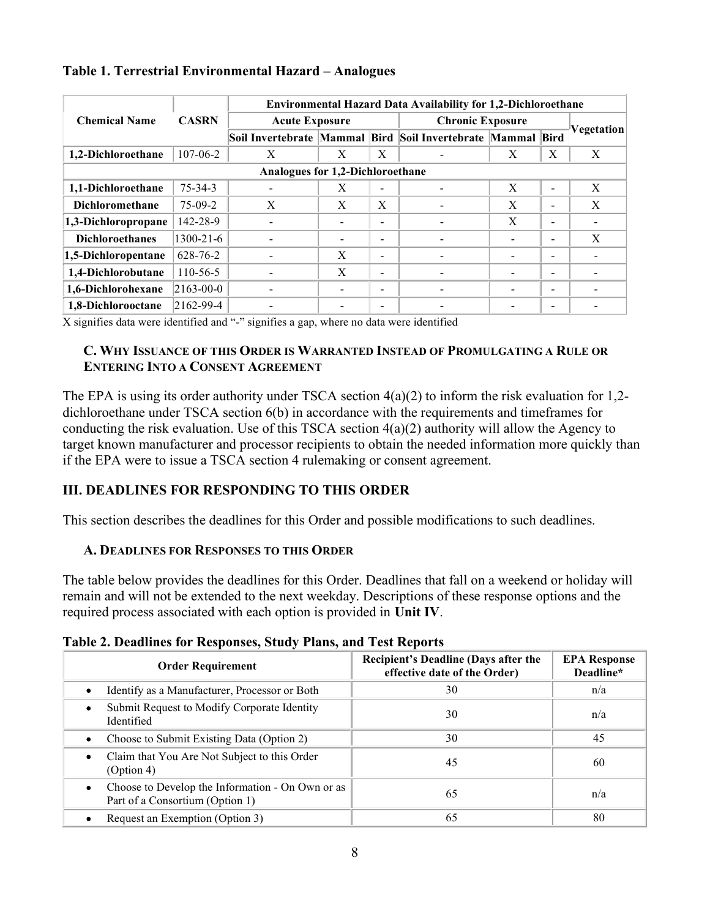|                                  | <b>CASRN</b>    | <b>Environmental Hazard Data Availability for 1,2-Dichloroethane</b> |              |                          |                                                             |   |                |              |
|----------------------------------|-----------------|----------------------------------------------------------------------|--------------|--------------------------|-------------------------------------------------------------|---|----------------|--------------|
| <b>Chemical Name</b>             |                 | <b>Acute Exposure</b>                                                |              |                          | <b>Chronic Exposure</b>                                     |   |                |              |
|                                  |                 |                                                                      |              |                          | Soil Invertebrate Mammal Bird Soil Invertebrate Mammal Bird |   |                | Vegetation   |
| 1,2-Dichloroethane               | 107-06-2        | X                                                                    | X            | X                        |                                                             | X | X              | $\mathbf{X}$ |
| Analogues for 1,2-Dichloroethane |                 |                                                                      |              |                          |                                                             |   |                |              |
| 1,1-Dichloroethane               | $75 - 34 - 3$   |                                                                      | X            | $\overline{\phantom{0}}$ |                                                             | X | $\blacksquare$ | X            |
| <b>Dichloromethane</b>           | $75-09-2$       | X                                                                    | X            | X                        |                                                             | X | -              | X            |
| 1,3-Dichloropropane              | 142-28-9        |                                                                      |              | $\overline{\phantom{a}}$ |                                                             | X | $\blacksquare$ |              |
| <b>Dichloroethanes</b>           | $1300 - 21 - 6$ |                                                                      |              | $\overline{\phantom{a}}$ |                                                             |   | -              | X            |
| 1,5-Dichloropentane              | $628 - 76 - 2$  |                                                                      | X            | $\overline{\phantom{a}}$ |                                                             |   | -              |              |
| 1,4-Dichlorobutane               | $110 - 56 - 5$  |                                                                      | $\mathbf{X}$ | $\overline{\phantom{a}}$ |                                                             |   | $\blacksquare$ |              |
| 1,6-Dichlorohexane               | $ 2163-00-0 $   |                                                                      |              | $\overline{\phantom{a}}$ | $\blacksquare$                                              |   | $\blacksquare$ |              |
| 1,8-Dichlorooctane               | $ 2162-99-4 $   |                                                                      |              | $\overline{\phantom{a}}$ |                                                             |   | -              |              |

#### Table 1. Terrestrial Environmental Hazard – Analogues

X signifies data were identified and "-" signifies a gap, where no data were identified

## C. WHY ISSUANCE OF THIS ORDER IS WARRANTED INSTEAD OF PROMULGATING A RULE OR ENTERING INTO A CONSENT AGREEMENT

The EPA is using its order authority under TSCA section 4(a)(2) to inform the risk evaluation for 1,2 dichloroethane under TSCA section 6(b) in accordance with the requirements and timeframes for conducting the risk evaluation. Use of this TSCA section 4(a)(2) authority will allow the Agency to target known manufacturer and processor recipients to obtain the needed information more quickly than if the EPA were to issue a TSCA section 4 rulemaking or consent agreement.

# III. DEADLINES FOR RESPONDING TO THIS ORDER

This section describes the deadlines for this Order and possible modifications to such deadlines.

#### A. DEADLINES FOR RESPONSES TO THIS ORDER

The table below provides the deadlines for this Order. Deadlines that fall on a weekend or holiday will remain and will not be extended to the next weekday. Descriptions of these response options and the required process associated with each option is provided in Unit IV.

| <b>Order Requirement</b>                                                                         | Recipient's Deadline (Days after the<br>effective date of the Order) | <b>EPA Response</b><br>Deadline* |
|--------------------------------------------------------------------------------------------------|----------------------------------------------------------------------|----------------------------------|
| Identify as a Manufacturer, Processor or Both<br>$\bullet$                                       | 30                                                                   | n/a                              |
| Submit Request to Modify Corporate Identity<br>٠<br>Identified                                   | 30                                                                   | n/a                              |
| Choose to Submit Existing Data (Option 2)<br>$\bullet$                                           | 30                                                                   | 45                               |
| Claim that You Are Not Subject to this Order<br>$\bullet$<br>(Option 4)                          | 45                                                                   | 60                               |
| Choose to Develop the Information - On Own or as<br>$\bullet$<br>Part of a Consortium (Option 1) | 65                                                                   | n/a                              |
| Request an Exemption (Option 3)                                                                  | 65                                                                   | 80                               |

Table 2. Deadlines for Responses, Study Plans, and Test Reports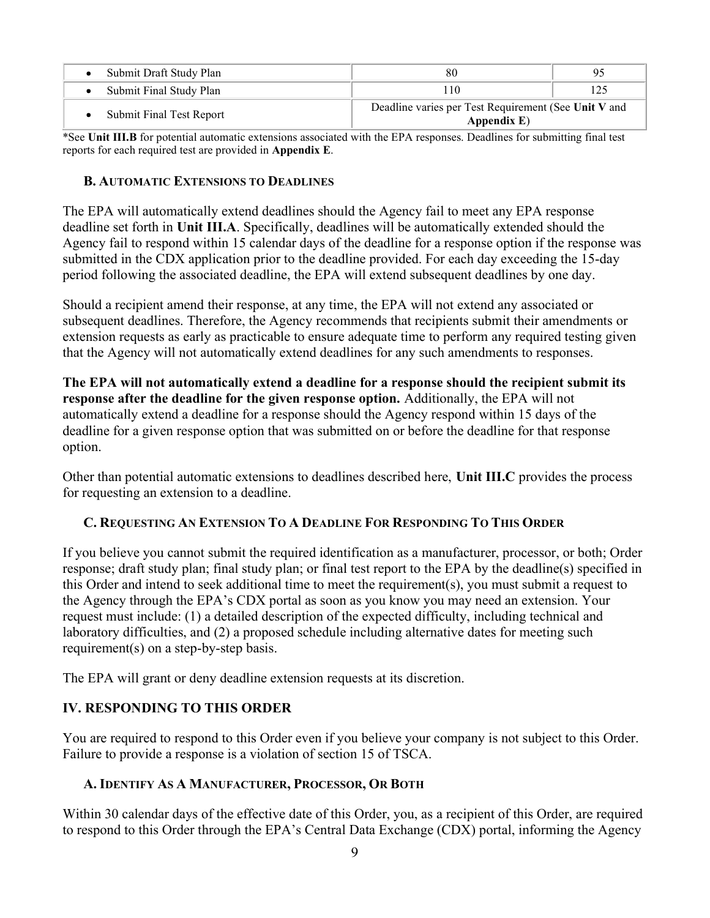| Submit Draft Study Plan  | 80                                                                     | 95 |  |
|--------------------------|------------------------------------------------------------------------|----|--|
| Submit Final Study Plan  | 10                                                                     |    |  |
| Submit Final Test Report | Deadline varies per Test Requirement (See Unit V and<br>Appendix $E$ ) |    |  |

\*See Unit III.B for potential automatic extensions associated with the EPA responses. Deadlines for submitting final test reports for each required test are provided in Appendix E.

#### B. AUTOMATIC EXTENSIONS TO DEADLINES

The EPA will automatically extend deadlines should the Agency fail to meet any EPA response deadline set forth in Unit III.A. Specifically, deadlines will be automatically extended should the Agency fail to respond within 15 calendar days of the deadline for a response option if the response was submitted in the CDX application prior to the deadline provided. For each day exceeding the 15-day period following the associated deadline, the EPA will extend subsequent deadlines by one day.

Should a recipient amend their response, at any time, the EPA will not extend any associated or subsequent deadlines. Therefore, the Agency recommends that recipients submit their amendments or extension requests as early as practicable to ensure adequate time to perform any required testing given that the Agency will not automatically extend deadlines for any such amendments to responses.

The EPA will not automatically extend a deadline for a response should the recipient submit its response after the deadline for the given response option. Additionally, the EPA will not automatically extend a deadline for a response should the Agency respond within 15 days of the deadline for a given response option that was submitted on or before the deadline for that response option.

Other than potential automatic extensions to deadlines described here, Unit III.C provides the process for requesting an extension to a deadline.

#### C. REQUESTING AN EXTENSION TO A DEADLINE FOR RESPONDING TO THIS ORDER

If you believe you cannot submit the required identification as a manufacturer, processor, or both; Order response; draft study plan; final study plan; or final test report to the EPA by the deadline(s) specified in this Order and intend to seek additional time to meet the requirement(s), you must submit a request to the Agency through the EPA's CDX portal as soon as you know you may need an extension. Your request must include: (1) a detailed description of the expected difficulty, including technical and laboratory difficulties, and (2) a proposed schedule including alternative dates for meeting such requirement(s) on a step-by-step basis.

The EPA will grant or deny deadline extension requests at its discretion.

#### IV. RESPONDING TO THIS ORDER

You are required to respond to this Order even if you believe your company is not subject to this Order. Failure to provide a response is a violation of section 15 of TSCA.

#### A. IDENTIFY AS A MANUFACTURER, PROCESSOR, OR BOTH

Within 30 calendar days of the effective date of this Order, you, as a recipient of this Order, are required to respond to this Order through the EPA's Central Data Exchange (CDX) portal, informing the Agency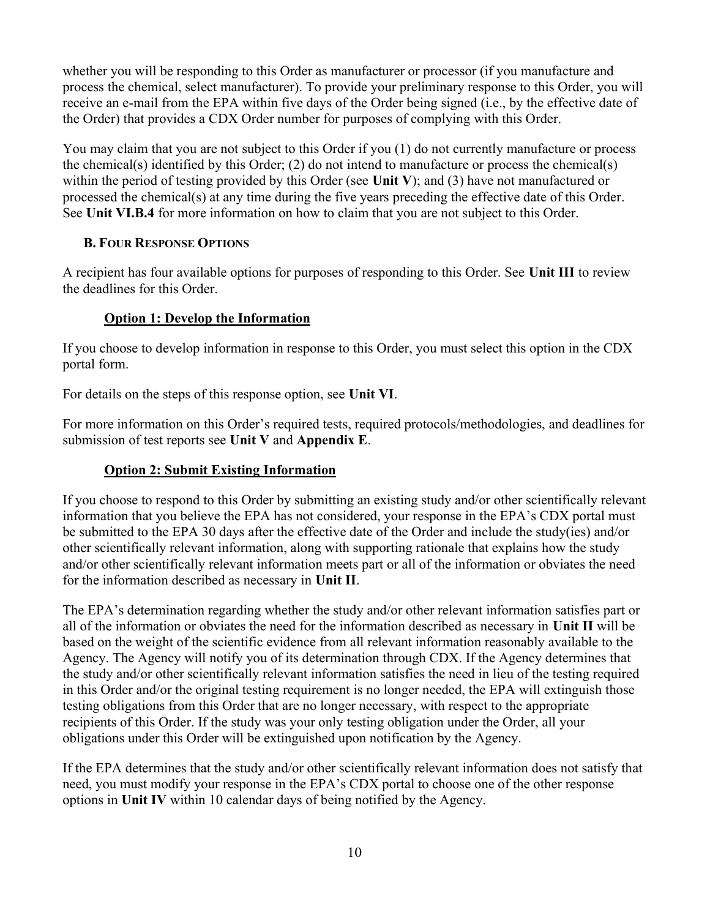whether you will be responding to this Order as manufacturer or processor (if you manufacture and process the chemical, select manufacturer). To provide your preliminary response to this Order, you will receive an e-mail from the EPA within five days of the Order being signed (i.e., by the effective date of the Order) that provides a CDX Order number for purposes of complying with this Order.

You may claim that you are not subject to this Order if you (1) do not currently manufacture or process the chemical(s) identified by this Order; (2) do not intend to manufacture or process the chemical(s) within the period of testing provided by this Order (see Unit V); and (3) have not manufactured or processed the chemical(s) at any time during the five years preceding the effective date of this Order. See Unit VI.B.4 for more information on how to claim that you are not subject to this Order.

# B. FOUR RESPONSE OPTIONS

A recipient has four available options for purposes of responding to this Order. See Unit III to review the deadlines for this Order.

# Option 1: Develop the Information

If you choose to develop information in response to this Order, you must select this option in the CDX portal form.

For details on the steps of this response option, see Unit VI.

For more information on this Order's required tests, required protocols/methodologies, and deadlines for submission of test reports see Unit V and Appendix E.

#### Option 2: Submit Existing Information

If you choose to respond to this Order by submitting an existing study and/or other scientifically relevant information that you believe the EPA has not considered, your response in the EPA's CDX portal must be submitted to the EPA 30 days after the effective date of the Order and include the study(ies) and/or other scientifically relevant information, along with supporting rationale that explains how the study and/or other scientifically relevant information meets part or all of the information or obviates the need for the information described as necessary in Unit II.

The EPA's determination regarding whether the study and/or other relevant information satisfies part or all of the information or obviates the need for the information described as necessary in Unit II will be based on the weight of the scientific evidence from all relevant information reasonably available to the Agency. The Agency will notify you of its determination through CDX. If the Agency determines that the study and/or other scientifically relevant information satisfies the need in lieu of the testing required in this Order and/or the original testing requirement is no longer needed, the EPA will extinguish those testing obligations from this Order that are no longer necessary, with respect to the appropriate recipients of this Order. If the study was your only testing obligation under the Order, all your obligations under this Order will be extinguished upon notification by the Agency.

If the EPA determines that the study and/or other scientifically relevant information does not satisfy that need, you must modify your response in the EPA's CDX portal to choose one of the other response options in Unit IV within 10 calendar days of being notified by the Agency.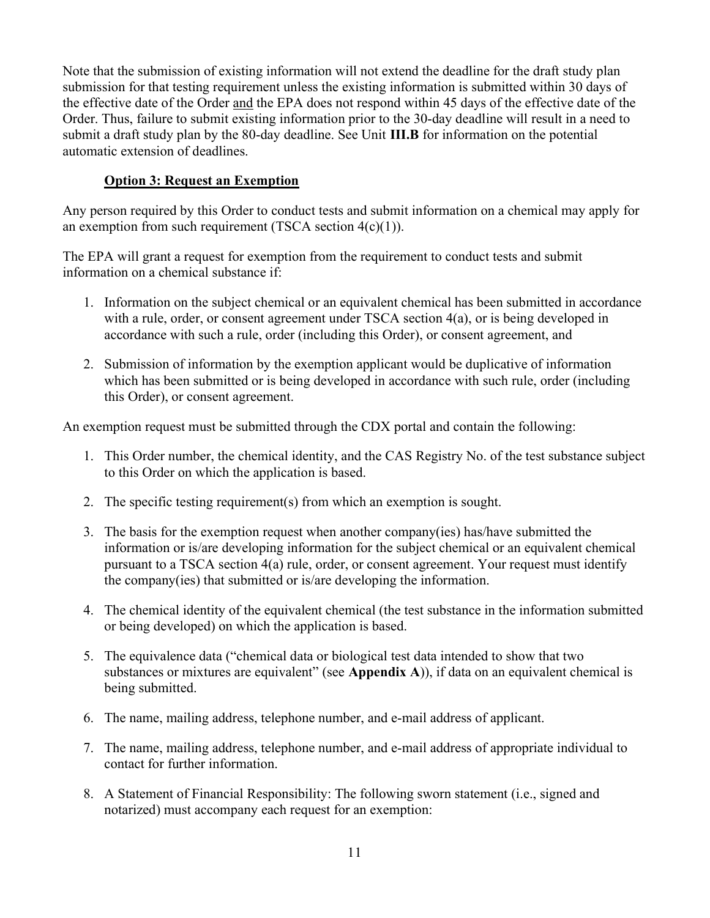Note that the submission of existing information will not extend the deadline for the draft study plan submission for that testing requirement unless the existing information is submitted within 30 days of the effective date of the Order and the EPA does not respond within 45 days of the effective date of the Order. Thus, failure to submit existing information prior to the 30-day deadline will result in a need to submit a draft study plan by the 80-day deadline. See Unit III.B for information on the potential automatic extension of deadlines.

# Option 3: Request an Exemption

Any person required by this Order to conduct tests and submit information on a chemical may apply for an exemption from such requirement (TSCA section  $4(c)(1)$ ).

The EPA will grant a request for exemption from the requirement to conduct tests and submit information on a chemical substance if:

- 1. Information on the subject chemical or an equivalent chemical has been submitted in accordance with a rule, order, or consent agreement under TSCA section 4(a), or is being developed in accordance with such a rule, order (including this Order), or consent agreement, and
- 2. Submission of information by the exemption applicant would be duplicative of information which has been submitted or is being developed in accordance with such rule, order (including this Order), or consent agreement.

An exemption request must be submitted through the CDX portal and contain the following:

- 1. This Order number, the chemical identity, and the CAS Registry No. of the test substance subject to this Order on which the application is based.
- 2. The specific testing requirement(s) from which an exemption is sought.
- 3. The basis for the exemption request when another company(ies) has/have submitted the information or is/are developing information for the subject chemical or an equivalent chemical pursuant to a TSCA section 4(a) rule, order, or consent agreement. Your request must identify the company(ies) that submitted or is/are developing the information.
- 4. The chemical identity of the equivalent chemical (the test substance in the information submitted or being developed) on which the application is based.
- 5. The equivalence data ("chemical data or biological test data intended to show that two substances or mixtures are equivalent" (see Appendix A)), if data on an equivalent chemical is being submitted.
- 6. The name, mailing address, telephone number, and e-mail address of applicant.
- 7. The name, mailing address, telephone number, and e-mail address of appropriate individual to contact for further information.
- 8. A Statement of Financial Responsibility: The following sworn statement (i.e., signed and notarized) must accompany each request for an exemption: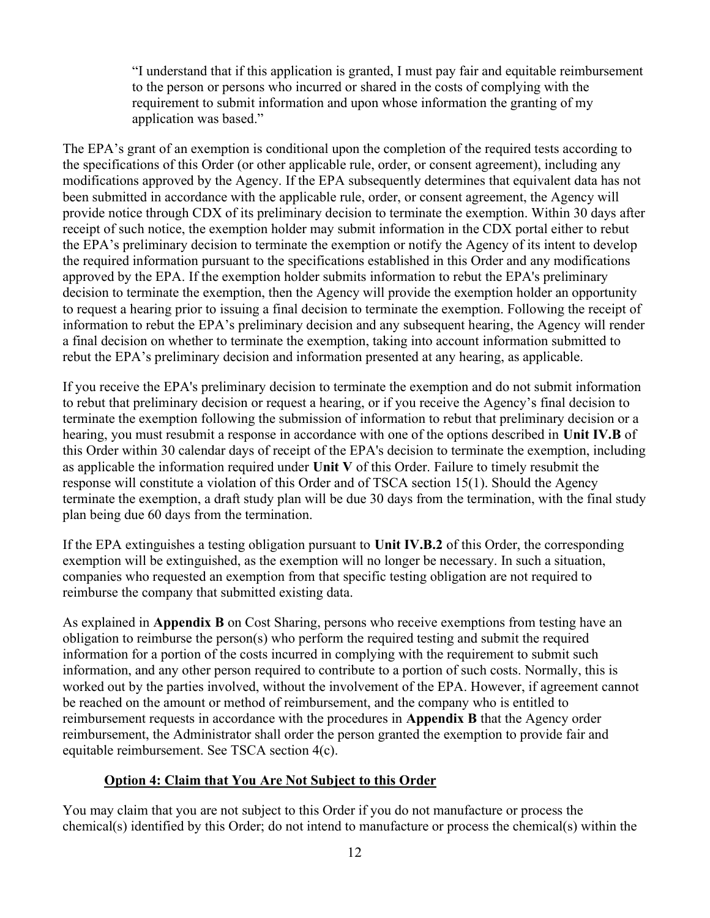"I understand that if this application is granted, I must pay fair and equitable reimbursement to the person or persons who incurred or shared in the costs of complying with the requirement to submit information and upon whose information the granting of my application was based."

The EPA's grant of an exemption is conditional upon the completion of the required tests according to the specifications of this Order (or other applicable rule, order, or consent agreement), including any modifications approved by the Agency. If the EPA subsequently determines that equivalent data has not been submitted in accordance with the applicable rule, order, or consent agreement, the Agency will provide notice through CDX of its preliminary decision to terminate the exemption. Within 30 days after receipt of such notice, the exemption holder may submit information in the CDX portal either to rebut the EPA's preliminary decision to terminate the exemption or notify the Agency of its intent to develop the required information pursuant to the specifications established in this Order and any modifications approved by the EPA. If the exemption holder submits information to rebut the EPA's preliminary decision to terminate the exemption, then the Agency will provide the exemption holder an opportunity to request a hearing prior to issuing a final decision to terminate the exemption. Following the receipt of information to rebut the EPA's preliminary decision and any subsequent hearing, the Agency will render a final decision on whether to terminate the exemption, taking into account information submitted to rebut the EPA's preliminary decision and information presented at any hearing, as applicable.

If you receive the EPA's preliminary decision to terminate the exemption and do not submit information to rebut that preliminary decision or request a hearing, or if you receive the Agency's final decision to terminate the exemption following the submission of information to rebut that preliminary decision or a hearing, you must resubmit a response in accordance with one of the options described in Unit IV.B of this Order within 30 calendar days of receipt of the EPA's decision to terminate the exemption, including as applicable the information required under Unit V of this Order. Failure to timely resubmit the response will constitute a violation of this Order and of TSCA section 15(1). Should the Agency terminate the exemption, a draft study plan will be due 30 days from the termination, with the final study plan being due 60 days from the termination.

If the EPA extinguishes a testing obligation pursuant to Unit IV.B.2 of this Order, the corresponding exemption will be extinguished, as the exemption will no longer be necessary. In such a situation, companies who requested an exemption from that specific testing obligation are not required to reimburse the company that submitted existing data.

As explained in Appendix B on Cost Sharing, persons who receive exemptions from testing have an obligation to reimburse the person(s) who perform the required testing and submit the required information for a portion of the costs incurred in complying with the requirement to submit such information, and any other person required to contribute to a portion of such costs. Normally, this is worked out by the parties involved, without the involvement of the EPA. However, if agreement cannot be reached on the amount or method of reimbursement, and the company who is entitled to reimbursement requests in accordance with the procedures in Appendix B that the Agency order reimbursement, the Administrator shall order the person granted the exemption to provide fair and equitable reimbursement. See TSCA section 4(c).

#### Option 4: Claim that You Are Not Subject to this Order

You may claim that you are not subject to this Order if you do not manufacture or process the chemical(s) identified by this Order; do not intend to manufacture or process the chemical(s) within the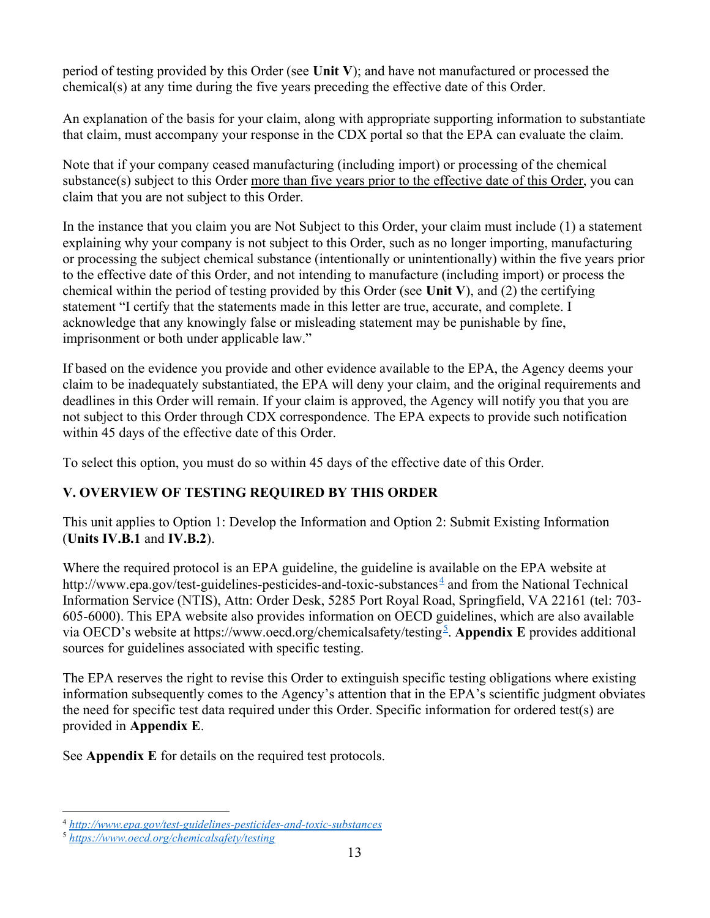period of testing provided by this Order (see Unit V); and have not manufactured or processed the chemical(s) at any time during the five years preceding the effective date of this Order.

An explanation of the basis for your claim, along with appropriate supporting information to substantiate that claim, must accompany your response in the CDX portal so that the EPA can evaluate the claim.

Note that if your company ceased manufacturing (including import) or processing of the chemical substance(s) subject to this Order more than five years prior to the effective date of this Order, you can claim that you are not subject to this Order.

In the instance that you claim you are Not Subject to this Order, your claim must include (1) a statement explaining why your company is not subject to this Order, such as no longer importing, manufacturing or processing the subject chemical substance (intentionally or unintentionally) within the five years prior to the effective date of this Order, and not intending to manufacture (including import) or process the chemical within the period of testing provided by this Order (see Unit V), and (2) the certifying statement "I certify that the statements made in this letter are true, accurate, and complete. I acknowledge that any knowingly false or misleading statement may be punishable by fine, imprisonment or both under applicable law."

If based on the evidence you provide and other evidence available to the EPA, the Agency deems your claim to be inadequately substantiated, the EPA will deny your claim, and the original requirements and deadlines in this Order will remain. If your claim is approved, the Agency will notify you that you are not subject to this Order through CDX correspondence. The EPA expects to provide such notification within 45 days of the effective date of this Order.

To select this option, you must do so within 45 days of the effective date of this Order.

# V. OVERVIEW OF TESTING REQUIRED BY THIS ORDER

This unit applies to Option 1: Develop the Information and Option 2: Submit Existing Information (Units IV.B.1 and IV.B.2).

Where the required protocol is an EPA guideline, the guideline is available on the EPA website at http://www.epa.gov/test-guidelines-pesticides-and-toxic-substances<sup> $\frac{4}{3}$ </sup> and from the National Technical Information Service (NTIS), Attn: Order Desk, 5285 Port Royal Road, Springfield, VA 22161 (tel: 703- 605-6000). This EPA website also provides information on OECD guidelines, which are also available via OECD's website at https://www.oecd.org/chemicalsafety/testing<sup>5</sup>. Appendix E provides additional sources for guidelines associated with specific testing.

The EPA reserves the right to revise this Order to extinguish specific testing obligations where existing information subsequently comes to the Agency's attention that in the EPA's scientific judgment obviates the need for specific test data required under this Order. Specific information for ordered test(s) are provided in Appendix E.

See Appendix E for details on the required test protocols.

<sup>4</sup> http://www.epa.gov/test-guidelines-pesticides-and-toxic-substances

<sup>5</sup> https://www.oecd.org/chemicalsafety/testing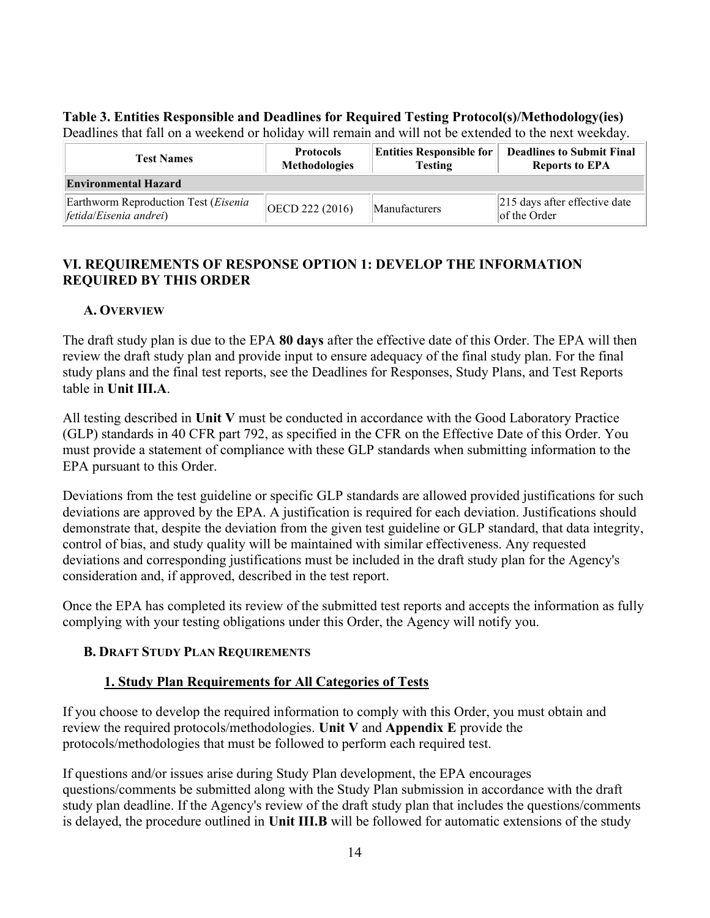# Table 3. Entities Responsible and Deadlines for Required Testing Protocol(s)/Methodology(ies)

Deadlines that fall on a weekend or holiday will remain and will not be extended to the next weekday.

| <b>Test Names</b>                                               | <b>Protocols</b><br><b>Methodologies</b> | <b>Entities Responsible for</b><br><b>Testing</b> | <b>Deadlines to Submit Final</b><br><b>Reports to EPA</b> |  |  |  |  |  |
|-----------------------------------------------------------------|------------------------------------------|---------------------------------------------------|-----------------------------------------------------------|--|--|--|--|--|
| <b>Environmental Hazard</b>                                     |                                          |                                                   |                                                           |  |  |  |  |  |
| Earthworm Reproduction Test (Eisenia<br>[fetida/Eisenia andrei] | OECD 222 (2016)                          | <b>Manufacturers</b>                              | $\vert$ 215 days after effective date<br>lof the Order    |  |  |  |  |  |

# VI. REQUIREMENTS OF RESPONSE OPTION 1: DEVELOP THE INFORMATION REQUIRED BY THIS ORDER

#### A. OVERVIEW

The draft study plan is due to the EPA 80 days after the effective date of this Order. The EPA will then review the draft study plan and provide input to ensure adequacy of the final study plan. For the final study plans and the final test reports, see the Deadlines for Responses, Study Plans, and Test Reports table in Unit III.A.

All testing described in Unit V must be conducted in accordance with the Good Laboratory Practice (GLP) standards in 40 CFR part 792, as specified in the CFR on the Effective Date of this Order. You must provide a statement of compliance with these GLP standards when submitting information to the EPA pursuant to this Order.

Deviations from the test guideline or specific GLP standards are allowed provided justifications for such deviations are approved by the EPA. A justification is required for each deviation. Justifications should demonstrate that, despite the deviation from the given test guideline or GLP standard, that data integrity, control of bias, and study quality will be maintained with similar effectiveness. Any requested deviations and corresponding justifications must be included in the draft study plan for the Agency's consideration and, if approved, described in the test report.

Once the EPA has completed its review of the submitted test reports and accepts the information as fully complying with your testing obligations under this Order, the Agency will notify you.

#### B. DRAFT STUDY PLAN REQUIREMENTS

# 1. Study Plan Requirements for All Categories of Tests

If you choose to develop the required information to comply with this Order, you must obtain and review the required protocols/methodologies. Unit V and Appendix E provide the protocols/methodologies that must be followed to perform each required test.

If questions and/or issues arise during Study Plan development, the EPA encourages questions/comments be submitted along with the Study Plan submission in accordance with the draft study plan deadline. If the Agency's review of the draft study plan that includes the questions/comments is delayed, the procedure outlined in Unit III.B will be followed for automatic extensions of the study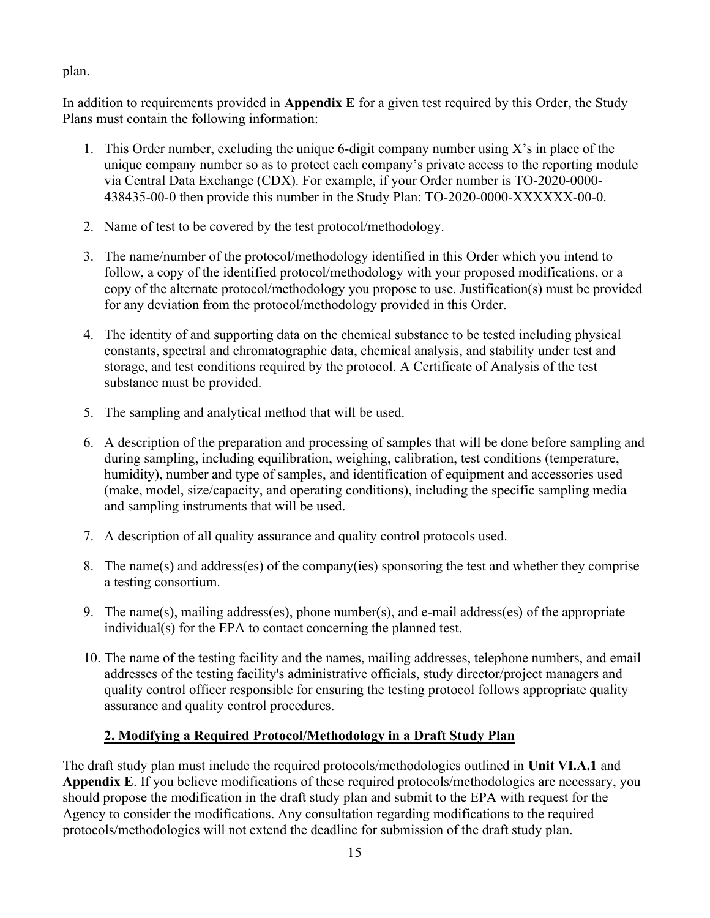plan.

In addition to requirements provided in **Appendix** E for a given test required by this Order, the Study Plans must contain the following information:

- 1. This Order number, excluding the unique 6-digit company number using X's in place of the unique company number so as to protect each company's private access to the reporting module via Central Data Exchange (CDX). For example, if your Order number is TO-2020-0000- 438435-00-0 then provide this number in the Study Plan: TO-2020-0000-XXXXXX-00-0.
- 2. Name of test to be covered by the test protocol/methodology.
- 3. The name/number of the protocol/methodology identified in this Order which you intend to follow, a copy of the identified protocol/methodology with your proposed modifications, or a copy of the alternate protocol/methodology you propose to use. Justification(s) must be provided for any deviation from the protocol/methodology provided in this Order.
- 4. The identity of and supporting data on the chemical substance to be tested including physical constants, spectral and chromatographic data, chemical analysis, and stability under test and storage, and test conditions required by the protocol. A Certificate of Analysis of the test substance must be provided.
- 5. The sampling and analytical method that will be used.
- 6. A description of the preparation and processing of samples that will be done before sampling and during sampling, including equilibration, weighing, calibration, test conditions (temperature, humidity), number and type of samples, and identification of equipment and accessories used (make, model, size/capacity, and operating conditions), including the specific sampling media and sampling instruments that will be used.
- 7. A description of all quality assurance and quality control protocols used.
- 8. The name(s) and address(es) of the company(ies) sponsoring the test and whether they comprise a testing consortium.
- 9. The name(s), mailing address(es), phone number(s), and e-mail address(es) of the appropriate individual(s) for the EPA to contact concerning the planned test.
- 10. The name of the testing facility and the names, mailing addresses, telephone numbers, and email addresses of the testing facility's administrative officials, study director/project managers and quality control officer responsible for ensuring the testing protocol follows appropriate quality assurance and quality control procedures.

# 2. Modifying a Required Protocol/Methodology in a Draft Study Plan

The draft study plan must include the required protocols/methodologies outlined in Unit VI.A.1 and Appendix E. If you believe modifications of these required protocols/methodologies are necessary, you should propose the modification in the draft study plan and submit to the EPA with request for the Agency to consider the modifications. Any consultation regarding modifications to the required protocols/methodologies will not extend the deadline for submission of the draft study plan.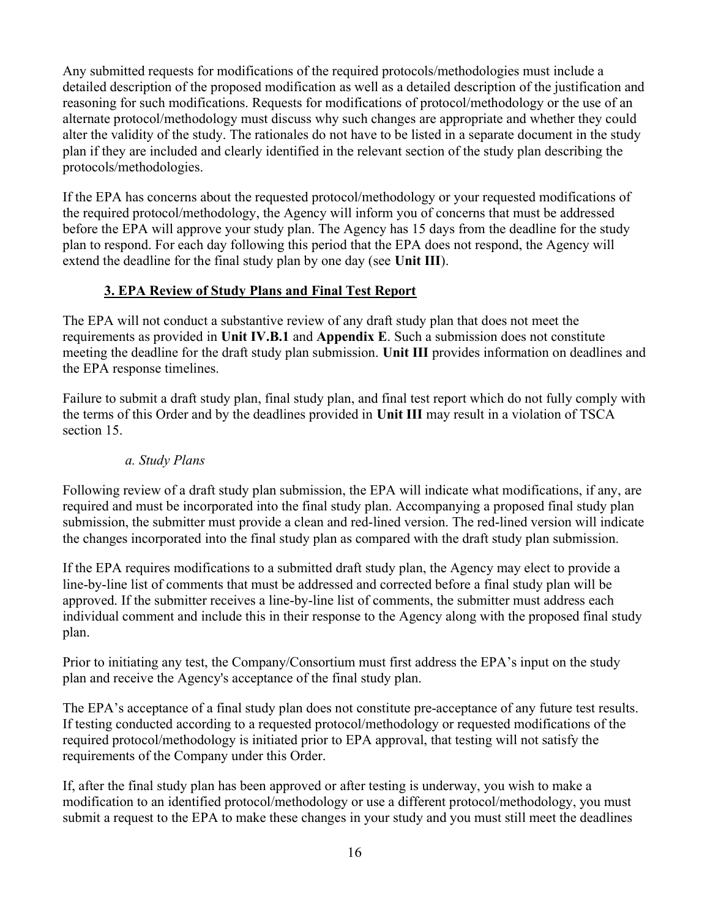Any submitted requests for modifications of the required protocols/methodologies must include a detailed description of the proposed modification as well as a detailed description of the justification and reasoning for such modifications. Requests for modifications of protocol/methodology or the use of an alternate protocol/methodology must discuss why such changes are appropriate and whether they could alter the validity of the study. The rationales do not have to be listed in a separate document in the study plan if they are included and clearly identified in the relevant section of the study plan describing the protocols/methodologies.

If the EPA has concerns about the requested protocol/methodology or your requested modifications of the required protocol/methodology, the Agency will inform you of concerns that must be addressed before the EPA will approve your study plan. The Agency has 15 days from the deadline for the study plan to respond. For each day following this period that the EPA does not respond, the Agency will extend the deadline for the final study plan by one day (see Unit III).

# 3. EPA Review of Study Plans and Final Test Report

The EPA will not conduct a substantive review of any draft study plan that does not meet the requirements as provided in Unit IV.B.1 and Appendix E. Such a submission does not constitute meeting the deadline for the draft study plan submission. Unit III provides information on deadlines and the EPA response timelines.

Failure to submit a draft study plan, final study plan, and final test report which do not fully comply with the terms of this Order and by the deadlines provided in Unit III may result in a violation of TSCA section 15.

#### a. Study Plans

Following review of a draft study plan submission, the EPA will indicate what modifications, if any, are required and must be incorporated into the final study plan. Accompanying a proposed final study plan submission, the submitter must provide a clean and red-lined version. The red-lined version will indicate the changes incorporated into the final study plan as compared with the draft study plan submission.

If the EPA requires modifications to a submitted draft study plan, the Agency may elect to provide a line-by-line list of comments that must be addressed and corrected before a final study plan will be approved. If the submitter receives a line-by-line list of comments, the submitter must address each individual comment and include this in their response to the Agency along with the proposed final study plan.

Prior to initiating any test, the Company/Consortium must first address the EPA's input on the study plan and receive the Agency's acceptance of the final study plan.

The EPA's acceptance of a final study plan does not constitute pre-acceptance of any future test results. If testing conducted according to a requested protocol/methodology or requested modifications of the required protocol/methodology is initiated prior to EPA approval, that testing will not satisfy the requirements of the Company under this Order.

If, after the final study plan has been approved or after testing is underway, you wish to make a modification to an identified protocol/methodology or use a different protocol/methodology, you must submit a request to the EPA to make these changes in your study and you must still meet the deadlines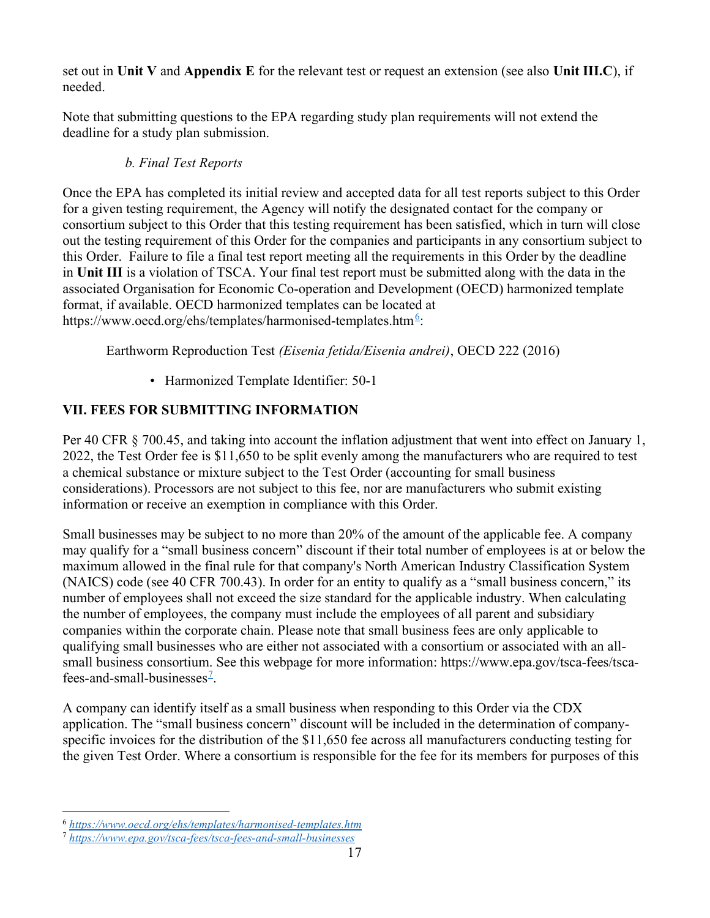set out in Unit V and Appendix E for the relevant test or request an extension (see also Unit III.C), if needed.

Note that submitting questions to the EPA regarding study plan requirements will not extend the deadline for a study plan submission.

# b. Final Test Reports

Once the EPA has completed its initial review and accepted data for all test reports subject to this Order for a given testing requirement, the Agency will notify the designated contact for the company or consortium subject to this Order that this testing requirement has been satisfied, which in turn will close out the testing requirement of this Order for the companies and participants in any consortium subject to this Order. Failure to file a final test report meeting all the requirements in this Order by the deadline in Unit III is a violation of TSCA. Your final test report must be submitted along with the data in the associated Organisation for Economic Co-operation and Development (OECD) harmonized template format, if available. OECD harmonized templates can be located at https://www.oecd.org/ehs/templates/harmonised-templates.htm<sup>6</sup>:

Earthworm Reproduction Test (Eisenia fetida/Eisenia andrei), OECD 222 (2016)

• Harmonized Template Identifier: 50-1

# VII. FEES FOR SUBMITTING INFORMATION

Per 40 CFR § 700.45, and taking into account the inflation adjustment that went into effect on January 1, 2022, the Test Order fee is \$11,650 to be split evenly among the manufacturers who are required to test a chemical substance or mixture subject to the Test Order (accounting for small business considerations). Processors are not subject to this fee, nor are manufacturers who submit existing information or receive an exemption in compliance with this Order.

Small businesses may be subject to no more than 20% of the amount of the applicable fee. A company may qualify for a "small business concern" discount if their total number of employees is at or below the maximum allowed in the final rule for that company's North American Industry Classification System (NAICS) code (see 40 CFR 700.43). In order for an entity to qualify as a "small business concern," its number of employees shall not exceed the size standard for the applicable industry. When calculating the number of employees, the company must include the employees of all parent and subsidiary companies within the corporate chain. Please note that small business fees are only applicable to qualifying small businesses who are either not associated with a consortium or associated with an allsmall business consortium. See this webpage for more information: https://www.epa.gov/tsca-fees/tscafees-and-small-businesses<sup> $2$ </sup>.

A company can identify itself as a small business when responding to this Order via the CDX application. The "small business concern" discount will be included in the determination of companyspecific invoices for the distribution of the \$11,650 fee across all manufacturers conducting testing for the given Test Order. Where a consortium is responsible for the fee for its members for purposes of this

<sup>6</sup> https://www.oecd.org/ehs/templates/harmonised-templates.htm

<sup>7</sup> https://www.epa.gov/tsca-fees/tsca-fees-and-small-businesses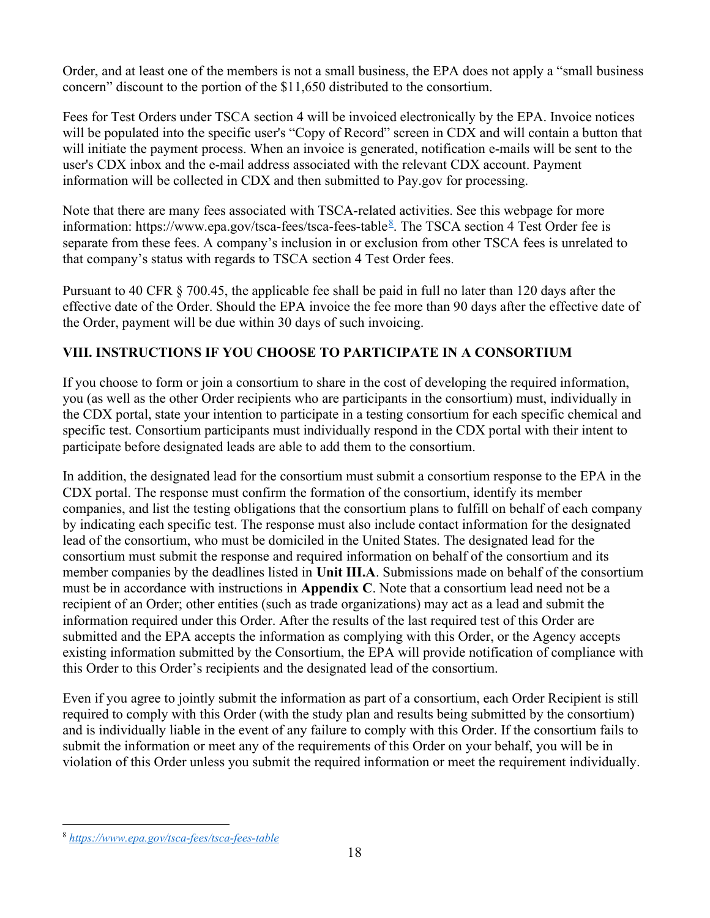Order, and at least one of the members is not a small business, the EPA does not apply a "small business concern" discount to the portion of the \$11,650 distributed to the consortium.

Fees for Test Orders under TSCA section 4 will be invoiced electronically by the EPA. Invoice notices will be populated into the specific user's "Copy of Record" screen in CDX and will contain a button that will initiate the payment process. When an invoice is generated, notification e-mails will be sent to the user's CDX inbox and the e-mail address associated with the relevant CDX account. Payment information will be collected in CDX and then submitted to Pay.gov for processing.

Note that there are many fees associated with TSCA-related activities. See this webpage for more information: https://www.epa.gov/tsca-fees/tsca-fees-table<sup>8</sup>. The TSCA section 4 Test Order fee is separate from these fees. A company's inclusion in or exclusion from other TSCA fees is unrelated to that company's status with regards to TSCA section 4 Test Order fees.

Pursuant to 40 CFR § 700.45, the applicable fee shall be paid in full no later than 120 days after the effective date of the Order. Should the EPA invoice the fee more than 90 days after the effective date of the Order, payment will be due within 30 days of such invoicing.

# VIII. INSTRUCTIONS IF YOU CHOOSE TO PARTICIPATE IN A CONSORTIUM

If you choose to form or join a consortium to share in the cost of developing the required information, you (as well as the other Order recipients who are participants in the consortium) must, individually in the CDX portal, state your intention to participate in a testing consortium for each specific chemical and specific test. Consortium participants must individually respond in the CDX portal with their intent to participate before designated leads are able to add them to the consortium.

In addition, the designated lead for the consortium must submit a consortium response to the EPA in the CDX portal. The response must confirm the formation of the consortium, identify its member companies, and list the testing obligations that the consortium plans to fulfill on behalf of each company by indicating each specific test. The response must also include contact information for the designated lead of the consortium, who must be domiciled in the United States. The designated lead for the consortium must submit the response and required information on behalf of the consortium and its member companies by the deadlines listed in Unit III.A. Submissions made on behalf of the consortium must be in accordance with instructions in Appendix C. Note that a consortium lead need not be a recipient of an Order; other entities (such as trade organizations) may act as a lead and submit the information required under this Order. After the results of the last required test of this Order are submitted and the EPA accepts the information as complying with this Order, or the Agency accepts existing information submitted by the Consortium, the EPA will provide notification of compliance with this Order to this Order's recipients and the designated lead of the consortium.

Even if you agree to jointly submit the information as part of a consortium, each Order Recipient is still required to comply with this Order (with the study plan and results being submitted by the consortium) and is individually liable in the event of any failure to comply with this Order. If the consortium fails to submit the information or meet any of the requirements of this Order on your behalf, you will be in violation of this Order unless you submit the required information or meet the requirement individually.

<sup>8</sup> https://www.epa.gov/tsca-fees/tsca-fees-table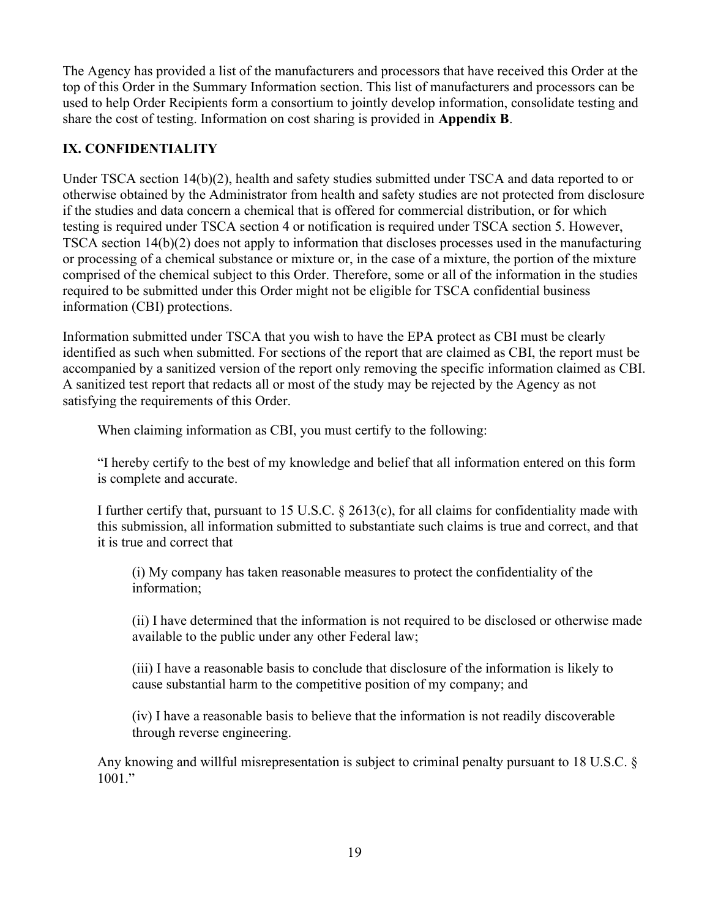The Agency has provided a list of the manufacturers and processors that have received this Order at the top of this Order in the Summary Information section. This list of manufacturers and processors can be used to help Order Recipients form a consortium to jointly develop information, consolidate testing and share the cost of testing. Information on cost sharing is provided in Appendix B.

# IX. CONFIDENTIALITY

Under TSCA section 14(b)(2), health and safety studies submitted under TSCA and data reported to or otherwise obtained by the Administrator from health and safety studies are not protected from disclosure if the studies and data concern a chemical that is offered for commercial distribution, or for which testing is required under TSCA section 4 or notification is required under TSCA section 5. However, TSCA section 14(b)(2) does not apply to information that discloses processes used in the manufacturing or processing of a chemical substance or mixture or, in the case of a mixture, the portion of the mixture comprised of the chemical subject to this Order. Therefore, some or all of the information in the studies required to be submitted under this Order might not be eligible for TSCA confidential business information (CBI) protections.

Information submitted under TSCA that you wish to have the EPA protect as CBI must be clearly identified as such when submitted. For sections of the report that are claimed as CBI, the report must be accompanied by a sanitized version of the report only removing the specific information claimed as CBI. A sanitized test report that redacts all or most of the study may be rejected by the Agency as not satisfying the requirements of this Order.

When claiming information as CBI, you must certify to the following:

"I hereby certify to the best of my knowledge and belief that all information entered on this form is complete and accurate.

I further certify that, pursuant to 15 U.S.C. § 2613(c), for all claims for confidentiality made with this submission, all information submitted to substantiate such claims is true and correct, and that it is true and correct that

(i) My company has taken reasonable measures to protect the confidentiality of the information;

(ii) I have determined that the information is not required to be disclosed or otherwise made available to the public under any other Federal law;

(iii) I have a reasonable basis to conclude that disclosure of the information is likely to cause substantial harm to the competitive position of my company; and

(iv) I have a reasonable basis to believe that the information is not readily discoverable through reverse engineering.

Any knowing and willful misrepresentation is subject to criminal penalty pursuant to 18 U.S.C. §  $1001.$ "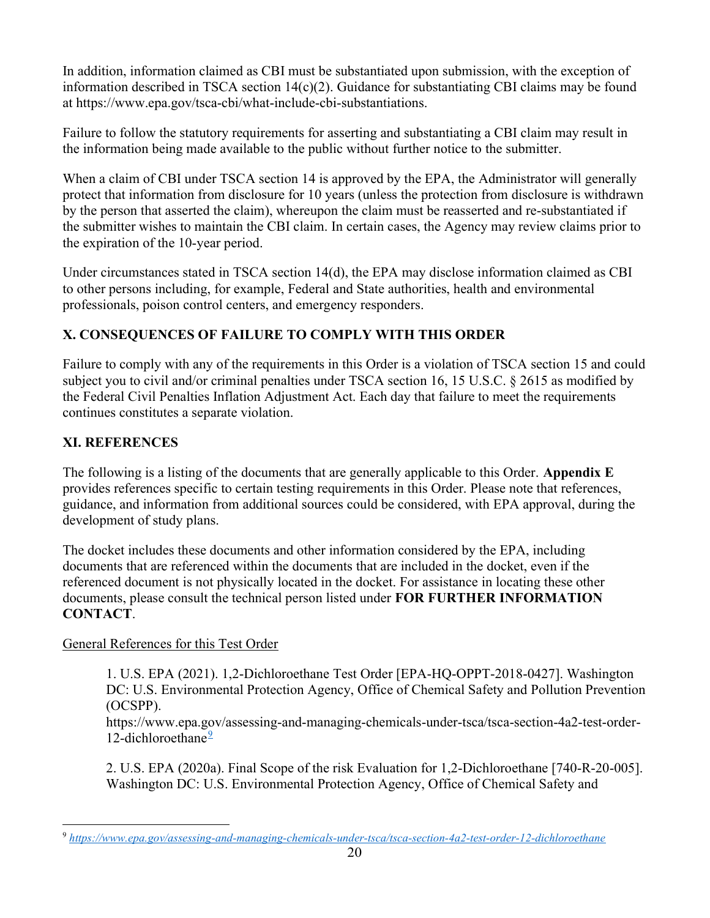In addition, information claimed as CBI must be substantiated upon submission, with the exception of information described in TSCA section 14(c)(2). Guidance for substantiating CBI claims may be found at https://www.epa.gov/tsca-cbi/what-include-cbi-substantiations.

Failure to follow the statutory requirements for asserting and substantiating a CBI claim may result in the information being made available to the public without further notice to the submitter.

When a claim of CBI under TSCA section 14 is approved by the EPA, the Administrator will generally protect that information from disclosure for 10 years (unless the protection from disclosure is withdrawn by the person that asserted the claim), whereupon the claim must be reasserted and re-substantiated if the submitter wishes to maintain the CBI claim. In certain cases, the Agency may review claims prior to the expiration of the 10-year period.

Under circumstances stated in TSCA section 14(d), the EPA may disclose information claimed as CBI to other persons including, for example, Federal and State authorities, health and environmental professionals, poison control centers, and emergency responders.

# X. CONSEQUENCES OF FAILURE TO COMPLY WITH THIS ORDER

Failure to comply with any of the requirements in this Order is a violation of TSCA section 15 and could subject you to civil and/or criminal penalties under TSCA section 16, 15 U.S.C. § 2615 as modified by the Federal Civil Penalties Inflation Adjustment Act. Each day that failure to meet the requirements continues constitutes a separate violation.

# XI. REFERENCES

The following is a listing of the documents that are generally applicable to this Order. Appendix E provides references specific to certain testing requirements in this Order. Please note that references, guidance, and information from additional sources could be considered, with EPA approval, during the development of study plans.

The docket includes these documents and other information considered by the EPA, including documents that are referenced within the documents that are included in the docket, even if the referenced document is not physically located in the docket. For assistance in locating these other documents, please consult the technical person listed under FOR FURTHER INFORMATION CONTACT.

#### General References for this Test Order

1. U.S. EPA (2021). 1,2-Dichloroethane Test Order [EPA-HQ-OPPT-2018-0427]. Washington DC: U.S. Environmental Protection Agency, Office of Chemical Safety and Pollution Prevention (OCSPP).

https://www.epa.gov/assessing-and-managing-chemicals-under-tsca/tsca-section-4a2-test-order-12-dichloroethane $\frac{9}{2}$ 

2. U.S. EPA (2020a). Final Scope of the risk Evaluation for 1,2-Dichloroethane [740-R-20-005]. Washington DC: U.S. Environmental Protection Agency, Office of Chemical Safety and

<sup>9</sup> https://www.epa.gov/assessing-and-managing-chemicals-under-tsca/tsca-section-4a2-test-order-12-dichloroethane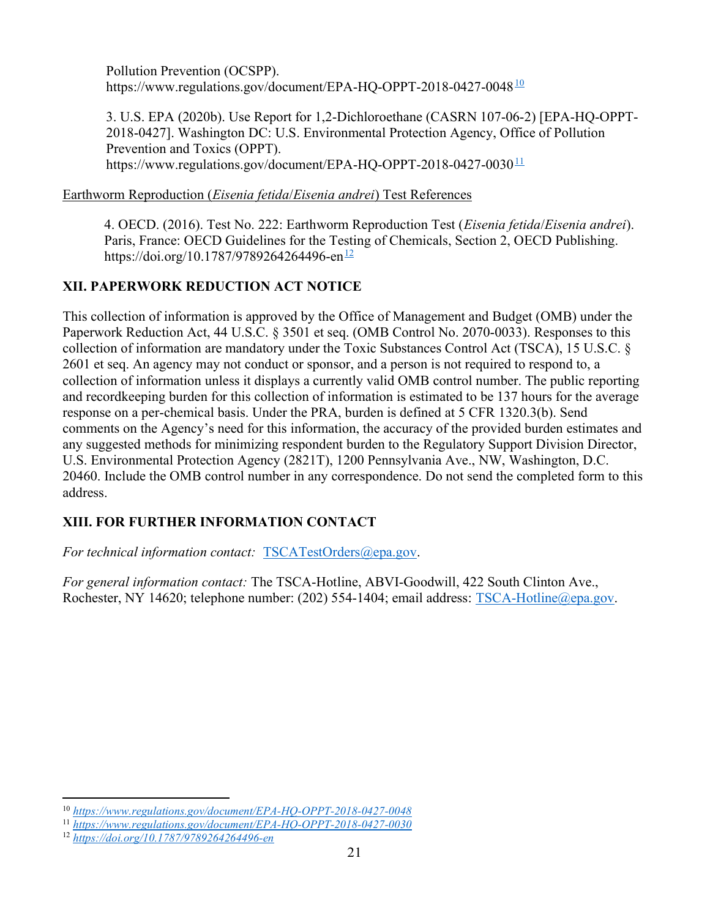Pollution Prevention (OCSPP). https://www.regulations.gov/document/EPA-HQ-OPPT-2018-0427-0048<sup>10</sup>

3. U.S. EPA (2020b). Use Report for 1,2-Dichloroethane (CASRN 107-06-2) [EPA-HQ-OPPT-2018-0427]. Washington DC: U.S. Environmental Protection Agency, Office of Pollution Prevention and Toxics (OPPT). https://www.regulations.gov/document/EPA-HQ-OPPT-2018-0427-0030 $11$ 

#### Earthworm Reproduction (Eisenia fetida/Eisenia andrei) Test References

4. OECD. (2016). Test No. 222: Earthworm Reproduction Test (Eisenia fetida/Eisenia andrei). Paris, France: OECD Guidelines for the Testing of Chemicals, Section 2, OECD Publishing. https://doi.org/10.1787/9789264264496-en<sup>12</sup>

# XII. PAPERWORK REDUCTION ACT NOTICE

This collection of information is approved by the Office of Management and Budget (OMB) under the Paperwork Reduction Act, 44 U.S.C. § 3501 et seq. (OMB Control No. 2070-0033). Responses to this collection of information are mandatory under the Toxic Substances Control Act (TSCA), 15 U.S.C. § 2601 et seq. An agency may not conduct or sponsor, and a person is not required to respond to, a collection of information unless it displays a currently valid OMB control number. The public reporting and recordkeeping burden for this collection of information is estimated to be 137 hours for the average response on a per-chemical basis. Under the PRA, burden is defined at 5 CFR 1320.3(b). Send comments on the Agency's need for this information, the accuracy of the provided burden estimates and any suggested methods for minimizing respondent burden to the Regulatory Support Division Director, U.S. Environmental Protection Agency (2821T), 1200 Pennsylvania Ave., NW, Washington, D.C. 20460. Include the OMB control number in any correspondence. Do not send the completed form to this address.

# XIII. FOR FURTHER INFORMATION CONTACT

For technical information contact: TSCATestOrders@epa.gov.

For general information contact: The TSCA-Hotline, ABVI-Goodwill, 422 South Clinton Ave., Rochester, NY 14620; telephone number: (202) 554-1404; email address: TSCA-Hotline@epa.gov.

<sup>10</sup> https://www.regulations.gov/document/EPA-HQ-OPPT-2018-0427-0048

<sup>11</sup> https://www.regulations.gov/document/EPA-HQ-OPPT-2018-0427-0030

<sup>12</sup> https://doi.org/10.1787/9789264264496-en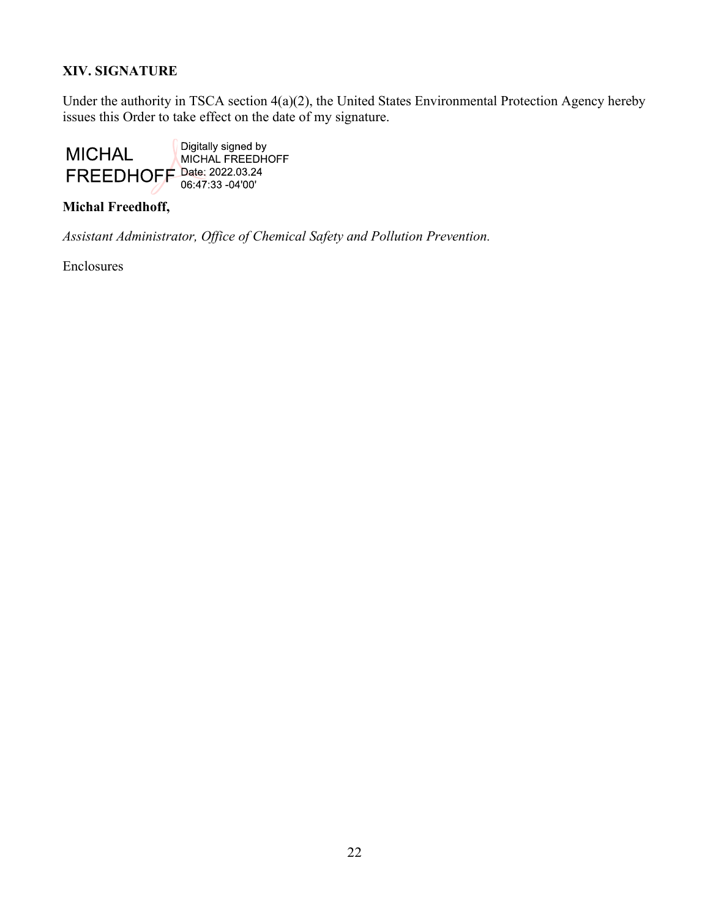# XIV. SIGNATURE

Under the authority in TSCA section 4(a)(2), the United States Environmental Protection Agency hereby issues this Order to take effect on the date of my signature.



#### Michal Freedhoff,

Assistant Administrator, Office of Chemical Safety and Pollution Prevention.

Enclosures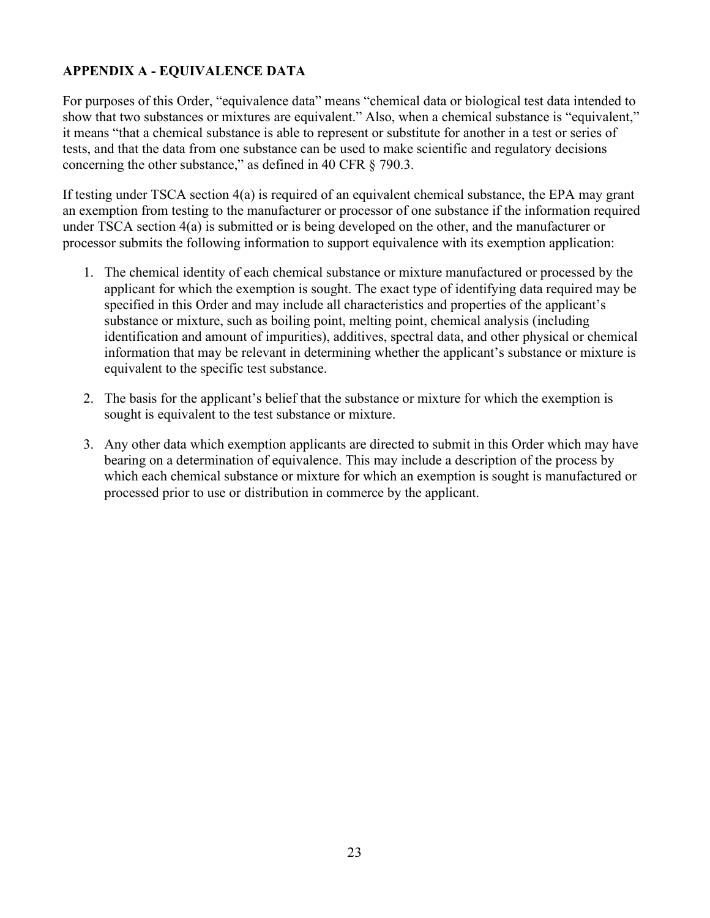# APPENDIX A - EQUIVALENCE DATA

For purposes of this Order, "equivalence data" means "chemical data or biological test data intended to show that two substances or mixtures are equivalent." Also, when a chemical substance is "equivalent," it means "that a chemical substance is able to represent or substitute for another in a test or series of tests, and that the data from one substance can be used to make scientific and regulatory decisions concerning the other substance," as defined in 40 CFR § 790.3.

If testing under TSCA section 4(a) is required of an equivalent chemical substance, the EPA may grant an exemption from testing to the manufacturer or processor of one substance if the information required under TSCA section 4(a) is submitted or is being developed on the other, and the manufacturer or processor submits the following information to support equivalence with its exemption application:

- 1. The chemical identity of each chemical substance or mixture manufactured or processed by the applicant for which the exemption is sought. The exact type of identifying data required may be specified in this Order and may include all characteristics and properties of the applicant's substance or mixture, such as boiling point, melting point, chemical analysis (including identification and amount of impurities), additives, spectral data, and other physical or chemical information that may be relevant in determining whether the applicant's substance or mixture is equivalent to the specific test substance.
- 2. The basis for the applicant's belief that the substance or mixture for which the exemption is sought is equivalent to the test substance or mixture.
- 3. Any other data which exemption applicants are directed to submit in this Order which may have bearing on a determination of equivalence. This may include a description of the process by which each chemical substance or mixture for which an exemption is sought is manufactured or processed prior to use or distribution in commerce by the applicant.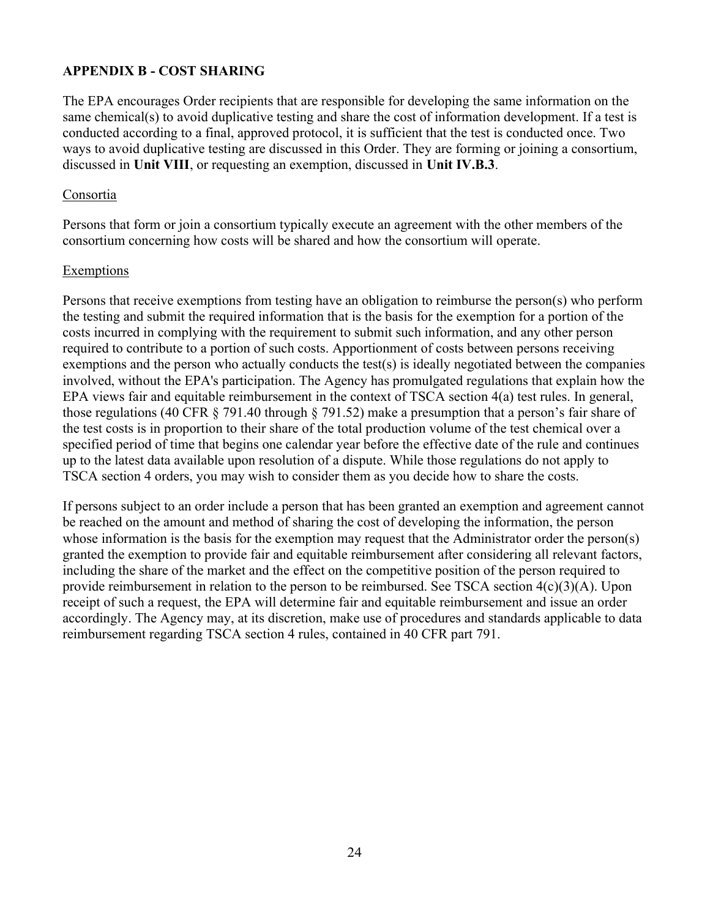# APPENDIX B - COST SHARING

The EPA encourages Order recipients that are responsible for developing the same information on the same chemical(s) to avoid duplicative testing and share the cost of information development. If a test is conducted according to a final, approved protocol, it is sufficient that the test is conducted once. Two ways to avoid duplicative testing are discussed in this Order. They are forming or joining a consortium, discussed in Unit VIII, or requesting an exemption, discussed in Unit IV.B.3.

#### Consortia

Persons that form or join a consortium typically execute an agreement with the other members of the consortium concerning how costs will be shared and how the consortium will operate.

#### Exemptions

Persons that receive exemptions from testing have an obligation to reimburse the person(s) who perform the testing and submit the required information that is the basis for the exemption for a portion of the costs incurred in complying with the requirement to submit such information, and any other person required to contribute to a portion of such costs. Apportionment of costs between persons receiving exemptions and the person who actually conducts the test(s) is ideally negotiated between the companies involved, without the EPA's participation. The Agency has promulgated regulations that explain how the EPA views fair and equitable reimbursement in the context of TSCA section 4(a) test rules. In general, those regulations (40 CFR § 791.40 through § 791.52) make a presumption that a person's fair share of the test costs is in proportion to their share of the total production volume of the test chemical over a specified period of time that begins one calendar year before the effective date of the rule and continues up to the latest data available upon resolution of a dispute. While those regulations do not apply to TSCA section 4 orders, you may wish to consider them as you decide how to share the costs.

If persons subject to an order include a person that has been granted an exemption and agreement cannot be reached on the amount and method of sharing the cost of developing the information, the person whose information is the basis for the exemption may request that the Administrator order the person(s) granted the exemption to provide fair and equitable reimbursement after considering all relevant factors, including the share of the market and the effect on the competitive position of the person required to provide reimbursement in relation to the person to be reimbursed. See TSCA section 4(c)(3)(A). Upon receipt of such a request, the EPA will determine fair and equitable reimbursement and issue an order accordingly. The Agency may, at its discretion, make use of procedures and standards applicable to data reimbursement regarding TSCA section 4 rules, contained in 40 CFR part 791.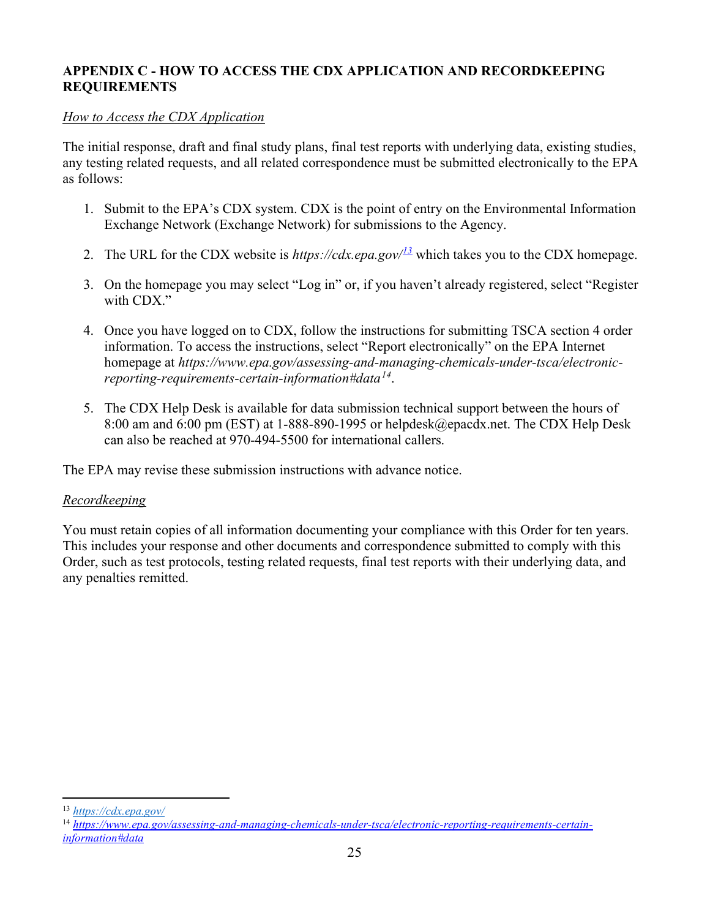# APPENDIX C - HOW TO ACCESS THE CDX APPLICATION AND RECORDKEEPING REQUIREMENTS

#### How to Access the CDX Application

The initial response, draft and final study plans, final test reports with underlying data, existing studies, any testing related requests, and all related correspondence must be submitted electronically to the EPA as follows:

- 1. Submit to the EPA's CDX system. CDX is the point of entry on the Environmental Information Exchange Network (Exchange Network) for submissions to the Agency.
- 2. The URL for the CDX website is https://cdx.epa.gov/ $\frac{13}{2}$  which takes you to the CDX homepage.
- 3. On the homepage you may select "Log in" or, if you haven't already registered, select "Register with CDX."
- 4. Once you have logged on to CDX, follow the instructions for submitting TSCA section 4 order information. To access the instructions, select "Report electronically" on the EPA Internet homepage at https://www.epa.gov/assessing-and-managing-chemicals-under-tsca/electronicreporting-requirements-certain-information#data $^{14}$ .
- 5. The CDX Help Desk is available for data submission technical support between the hours of 8:00 am and 6:00 pm (EST) at 1-888-890-1995 or helpdesk@epacdx.net. The CDX Help Desk can also be reached at 970-494-5500 for international callers.

The EPA may revise these submission instructions with advance notice.

#### Recordkeeping

You must retain copies of all information documenting your compliance with this Order for ten years. This includes your response and other documents and correspondence submitted to comply with this Order, such as test protocols, testing related requests, final test reports with their underlying data, and any penalties remitted.

<sup>13</sup> https://cdx.epa.gov/

<sup>&</sup>lt;sup>14</sup> https://www.epa.gov/assessing-and-managing-chemicals-under-tsca/electronic-reporting-requirements-certaininformation#data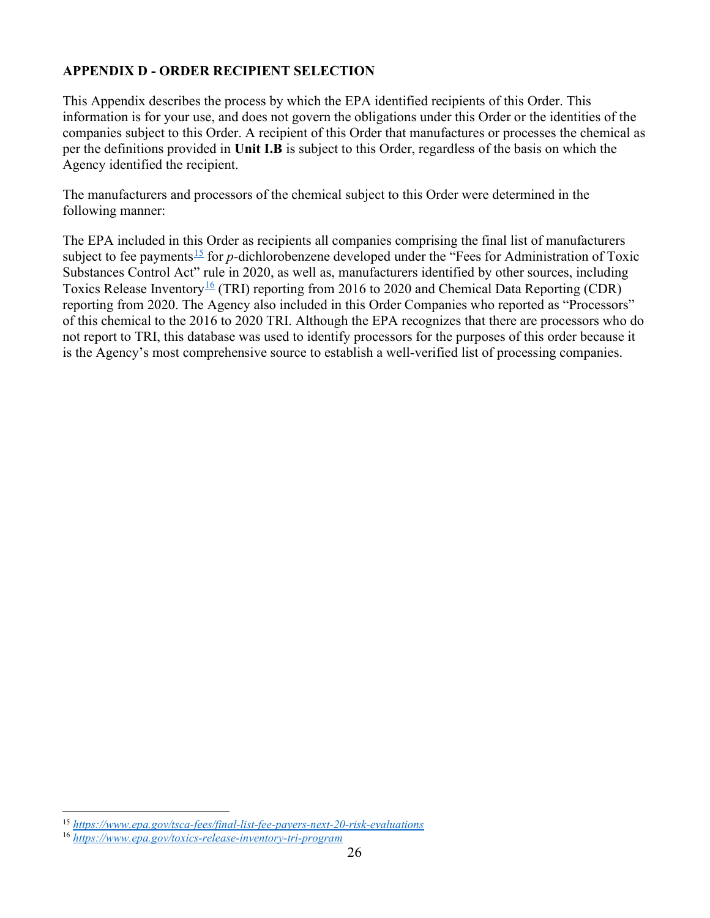# APPENDIX D - ORDER RECIPIENT SELECTION

This Appendix describes the process by which the EPA identified recipients of this Order. This information is for your use, and does not govern the obligations under this Order or the identities of the companies subject to this Order. A recipient of this Order that manufactures or processes the chemical as per the definitions provided in Unit I.B is subject to this Order, regardless of the basis on which the Agency identified the recipient.

The manufacturers and processors of the chemical subject to this Order were determined in the following manner:

The EPA included in this Order as recipients all companies comprising the final list of manufacturers subject to fee payments<sup>15</sup> for p-dichlorobenzene developed under the "Fees for Administration of Toxic Substances Control Act" rule in 2020, as well as, manufacturers identified by other sources, including Toxics Release Inventory<sup>16</sup> (TRI) reporting from 2016 to 2020 and Chemical Data Reporting (CDR) reporting from 2020. The Agency also included in this Order Companies who reported as "Processors" of this chemical to the 2016 to 2020 TRI. Although the EPA recognizes that there are processors who do not report to TRI, this database was used to identify processors for the purposes of this order because it is the Agency's most comprehensive source to establish a well-verified list of processing companies.

<sup>15</sup> https://www.epa.gov/tsca-fees/final-list-fee-payers-next-20-risk-evaluations

<sup>16</sup> https://www.epa.gov/toxics-release-inventory-tri-program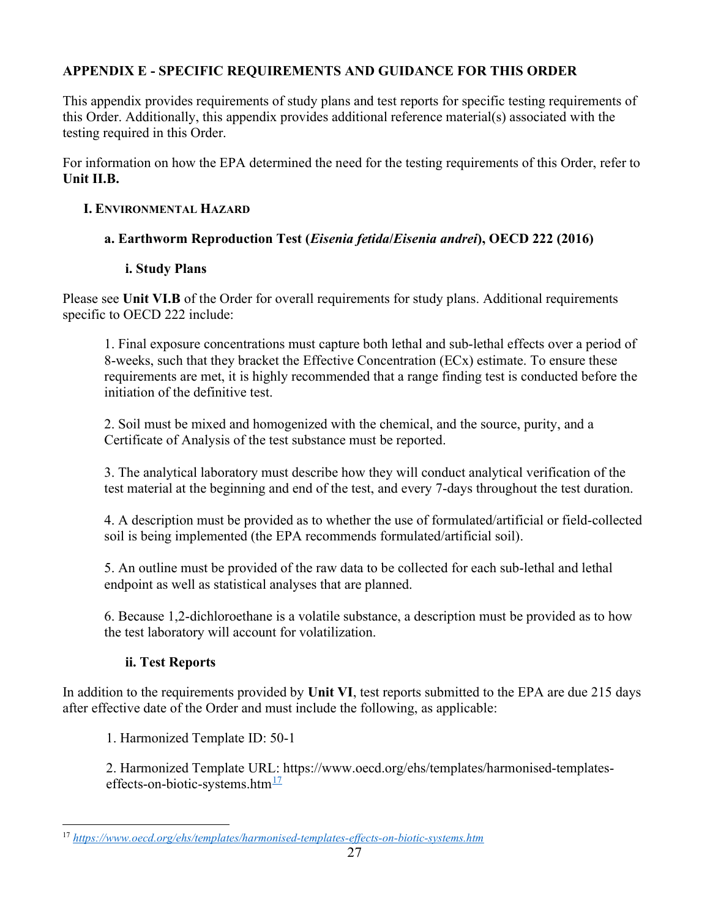# APPENDIX E - SPECIFIC REQUIREMENTS AND GUIDANCE FOR THIS ORDER

This appendix provides requirements of study plans and test reports for specific testing requirements of this Order. Additionally, this appendix provides additional reference material(s) associated with the testing required in this Order.

For information on how the EPA determined the need for the testing requirements of this Order, refer to Unit II.B.

# I. ENVIRONMENTAL HAZARD

# a. Earthworm Reproduction Test (Eisenia fetida/Eisenia andrei), OECD 222 (2016)

# i. Study Plans

Please see Unit VI.B of the Order for overall requirements for study plans. Additional requirements specific to OECD 222 include:

1. Final exposure concentrations must capture both lethal and sub-lethal effects over a period of 8-weeks, such that they bracket the Effective Concentration (ECx) estimate. To ensure these requirements are met, it is highly recommended that a range finding test is conducted before the initiation of the definitive test.

2. Soil must be mixed and homogenized with the chemical, and the source, purity, and a Certificate of Analysis of the test substance must be reported.

3. The analytical laboratory must describe how they will conduct analytical verification of the test material at the beginning and end of the test, and every 7-days throughout the test duration.

4. A description must be provided as to whether the use of formulated/artificial or field-collected soil is being implemented (the EPA recommends formulated/artificial soil).

5. An outline must be provided of the raw data to be collected for each sub-lethal and lethal endpoint as well as statistical analyses that are planned.

6. Because 1,2-dichloroethane is a volatile substance, a description must be provided as to how the test laboratory will account for volatilization.

# ii. Test Reports

In addition to the requirements provided by Unit VI, test reports submitted to the EPA are due 215 days after effective date of the Order and must include the following, as applicable:

1. Harmonized Template ID: 50-1

2. Harmonized Template URL: https://www.oecd.org/ehs/templates/harmonised-templateseffects-on-biotic-systems.htm $^{17}$ 

<sup>17</sup> https://www.oecd.org/ehs/templates/harmonised-templates-effects-on-biotic-systems.htm